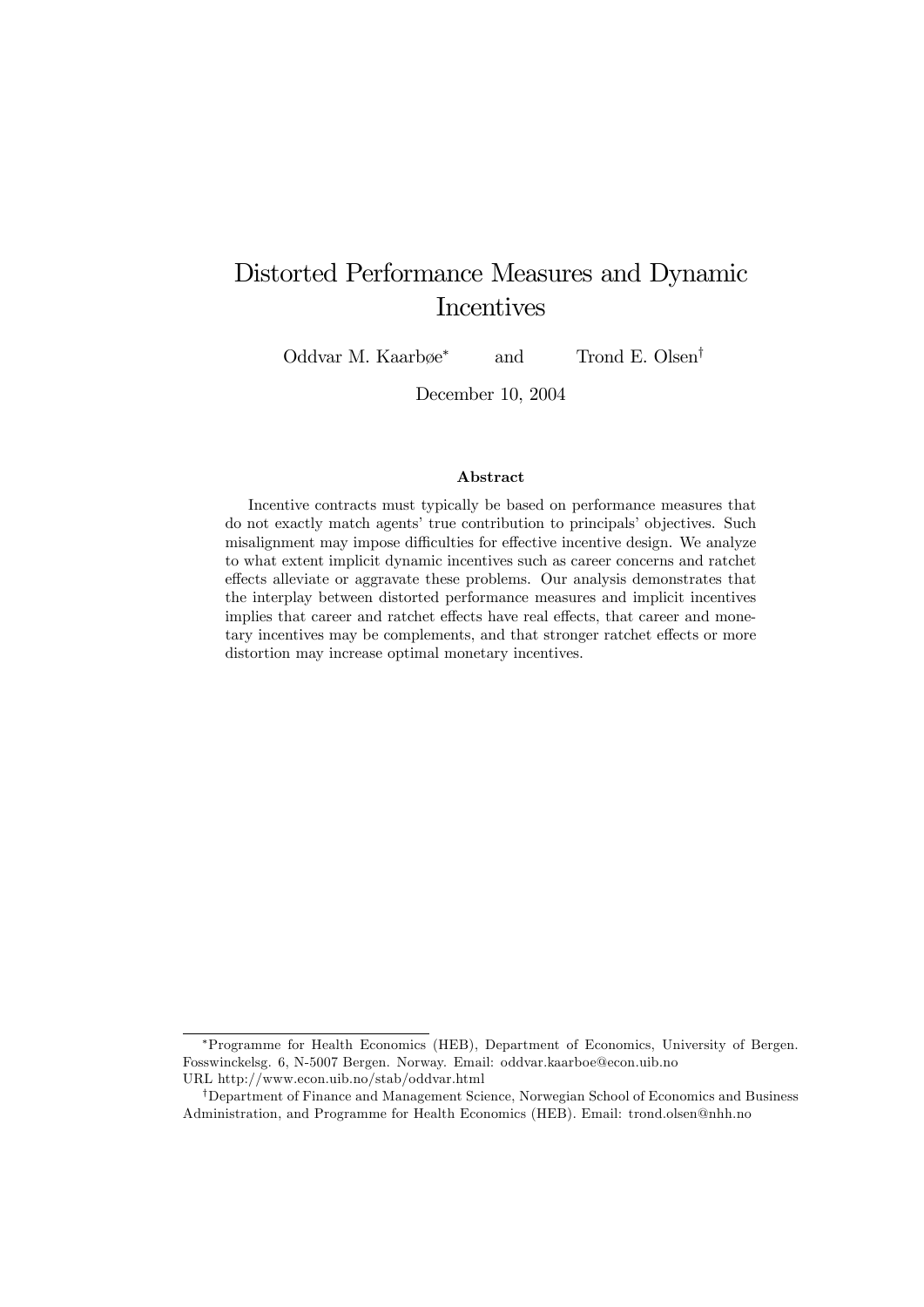## Distorted Performance Measures and Dynamic Incentives

Oddvar M. Kaarb $\emptyset$ e<sup>\*</sup> and Trond E. Olsen<sup>†</sup>

December 10, 2004

#### Abstract

Incentive contracts must typically be based on performance measures that do not exactly match agents' true contribution to principals' objectives. Such misalignment may impose difficulties for effective incentive design. We analyze to what extent implicit dynamic incentives such as career concerns and ratchet effects alleviate or aggravate these problems. Our analysis demonstrates that the interplay between distorted performance measures and implicit incentives implies that career and ratchet effects have real effects, that career and monetary incentives may be complements, and that stronger ratchet effects or more distortion may increase optimal monetary incentives.

Programme for Health Economics (HEB), Department of Economics, University of Bergen. Fosswinckelsg. 6, N-5007 Bergen. Norway. Email: oddvar.kaarboe@econ.uib.no URL http://www.econ.uib.no/stab/oddvar.html

<sup>&</sup>lt;sup>†</sup>Department of Finance and Management Science, Norwegian School of Economics and Business Administration, and Programme for Health Economics (HEB). Email: trond.olsen@nhh.no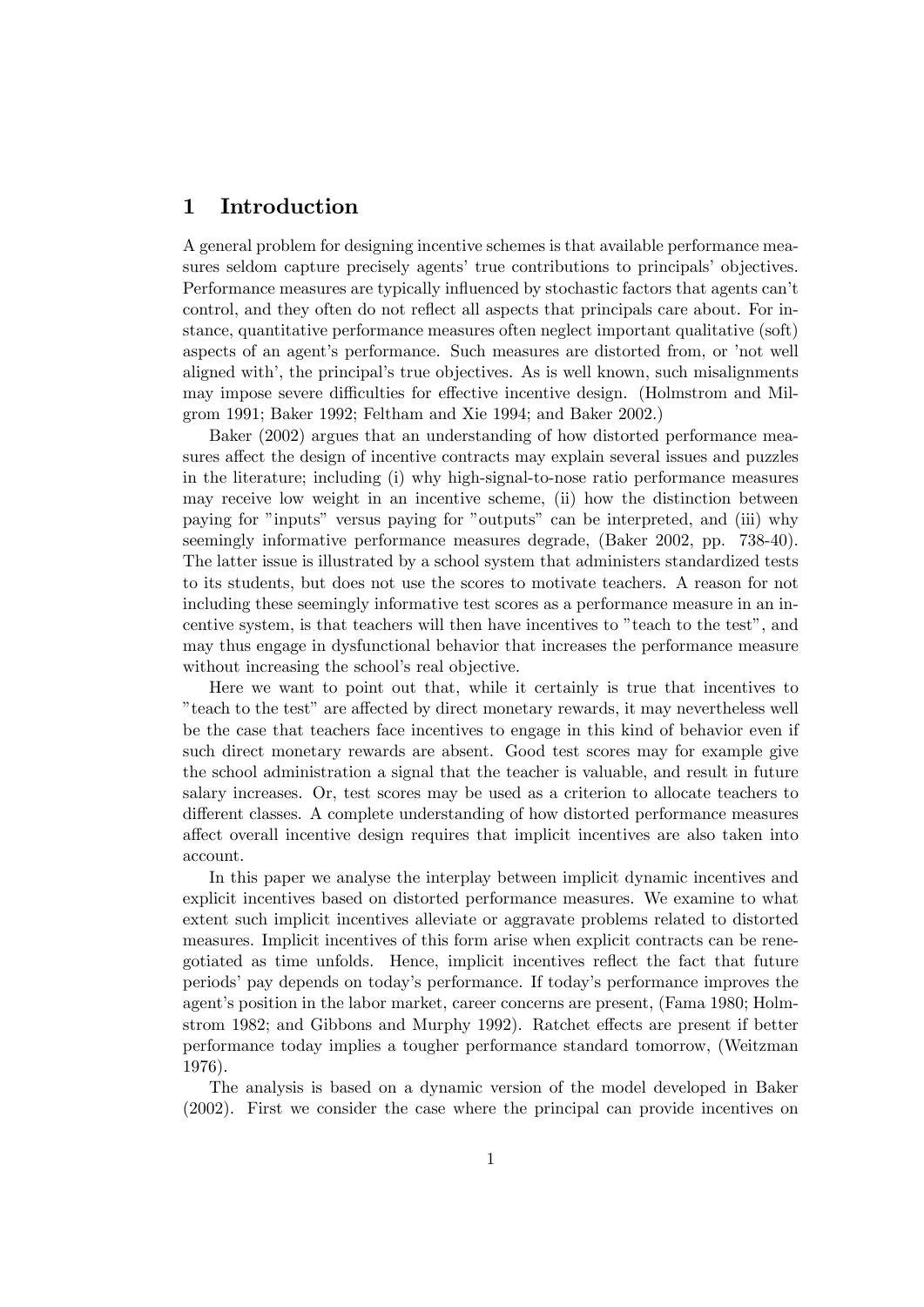## 1 Introduction

A general problem for designing incentive schemes is that available performance measures seldom capture precisely agents' true contributions to principals' objectives. Performance measures are typically influenced by stochastic factors that agents can't control, and they often do not reflect all aspects that principals care about. For instance, quantitative performance measures often neglect important qualitative (soft) aspects of an agent's performance. Such measures are distorted from, or 'not well aligned with', the principal's true objectives. As is well known, such misalignments may impose severe difficulties for effective incentive design. (Holmstrom and Milgrom 1991; Baker 1992; Feltham and Xie 1994; and Baker 2002.)

Baker (2002) argues that an understanding of how distorted performance measures affect the design of incentive contracts may explain several issues and puzzles in the literature; including (i) why high-signal-to-nose ratio performance measures may receive low weight in an incentive scheme, (ii) how the distinction between paying for "inputs" versus paying for "outputs" can be interpreted, and (iii) why seemingly informative performance measures degrade, (Baker 2002, pp. 738-40). The latter issue is illustrated by a school system that administers standardized tests to its students, but does not use the scores to motivate teachers. A reason for not including these seemingly informative test scores as a performance measure in an incentive system, is that teachers will then have incentives to "teach to the test", and may thus engage in dysfunctional behavior that increases the performance measure without increasing the school's real objective.

Here we want to point out that, while it certainly is true that incentives to the test" are affected by direct monetary rewards, it may nevertheless well be the case that teachers face incentives to engage in this kind of behavior even if such direct monetary rewards are absent. Good test scores may for example give the school administration a signal that the teacher is valuable, and result in future salary increases. Or, test scores may be used as a criterion to allocate teachers to different classes. A complete understanding of how distorted performance measures affect overall incentive design requires that implicit incentives are also taken into account.

In this paper we analyse the interplay between implicit dynamic incentives and explicit incentives based on distorted performance measures. We examine to what extent such implicit incentives alleviate or aggravate problems related to distorted measures. Implicit incentives of this form arise when explicit contracts can be renegotiated as time unfolds. Hence, implicit incentives reflect the fact that future periodsípay depends on todayís performance. If todayís performance improves the agent's position in the labor market, career concerns are present, (Fama 1980; Holmstrom 1982; and Gibbons and Murphy 1992). Ratchet effects are present if better performance today implies a tougher performance standard tomorrow, (Weitzman 1976).

The analysis is based on a dynamic version of the model developed in Baker (2002). First we consider the case where the principal can provide incentives on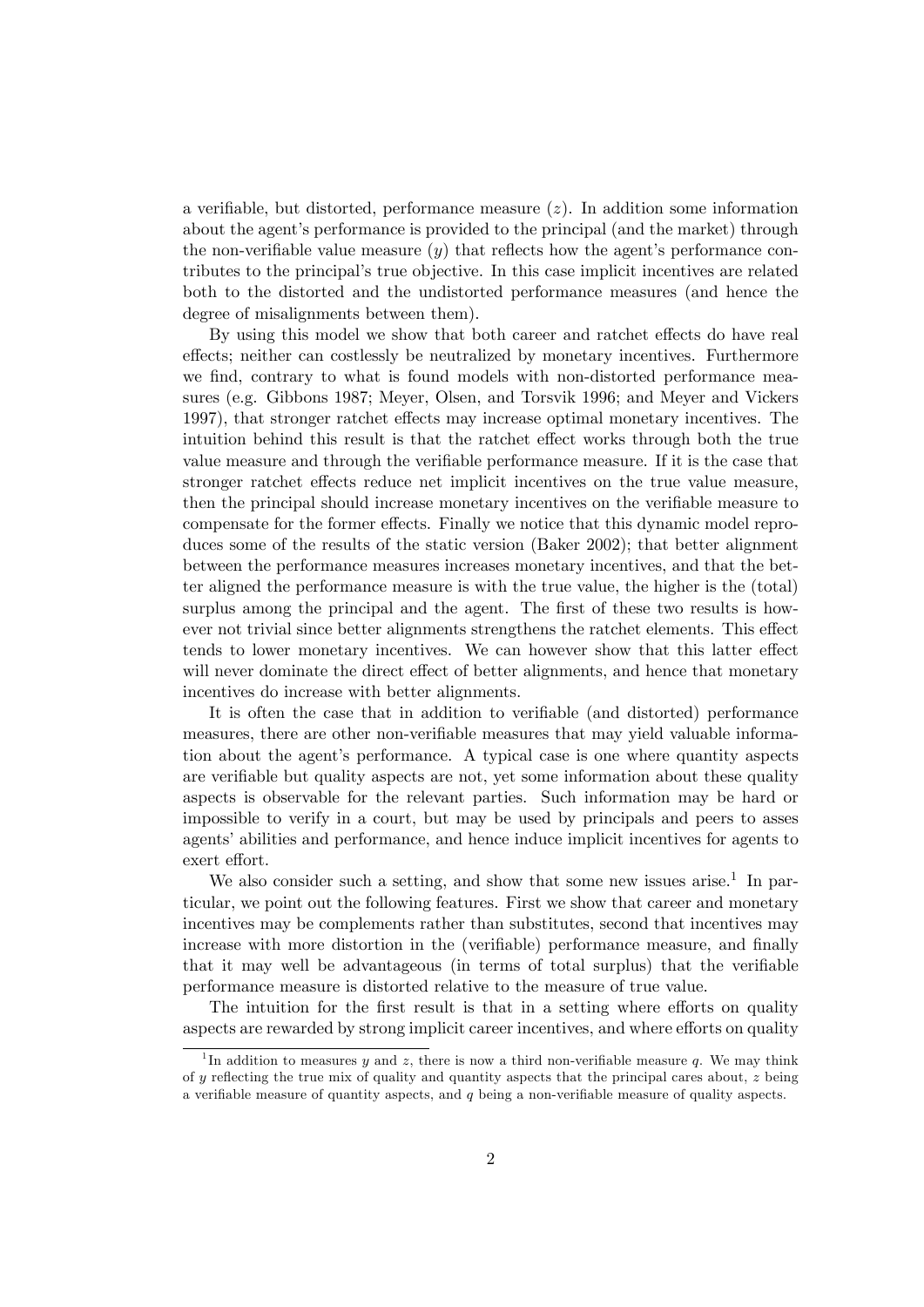a verifiable, but distorted, performance measure  $(z)$ . In addition some information about the agent's performance is provided to the principal (and the market) through the non-verifiable value measure  $(y)$  that reflects how the agent's performance contributes to the principalís true objective. In this case implicit incentives are related both to the distorted and the undistorted performance measures (and hence the degree of misalignments between them).

By using this model we show that both career and ratchet effects do have real effects; neither can costlessly be neutralized by monetary incentives. Furthermore we find, contrary to what is found models with non-distorted performance measures (e.g. Gibbons 1987; Meyer, Olsen, and Torsvik 1996; and Meyer and Vickers 1997), that stronger ratchet effects may increase optimal monetary incentives. The intuition behind this result is that the ratchet effect works through both the true value measure and through the verifiable performance measure. If it is the case that stronger ratchet effects reduce net implicit incentives on the true value measure, then the principal should increase monetary incentives on the verifiable measure to compensate for the former effects. Finally we notice that this dynamic model reproduces some of the results of the static version (Baker 2002); that better alignment between the performance measures increases monetary incentives, and that the better aligned the performance measure is with the true value, the higher is the (total) surplus among the principal and the agent. The first of these two results is however not trivial since better alignments strengthens the ratchet elements. This effect tends to lower monetary incentives. We can however show that this latter effect will never dominate the direct effect of better alignments, and hence that monetary incentives do increase with better alignments.

It is often the case that in addition to verifiable (and distorted) performance measures, there are other non-verifiable measures that may yield valuable information about the agent's performance. A typical case is one where quantity aspects are verifiable but quality aspects are not, yet some information about these quality aspects is observable for the relevant parties. Such information may be hard or impossible to verify in a court, but may be used by principals and peers to asses agents' abilities and performance, and hence induce implicit incentives for agents to exert effort.

We also consider such a setting, and show that some new issues arise.<sup>1</sup> In particular, we point out the following features. First we show that career and monetary incentives may be complements rather than substitutes, second that incentives may increase with more distortion in the (verifiable) performance measure, and finally that it may well be advantageous (in terms of total surplus) that the verifiable performance measure is distorted relative to the measure of true value.

The intuition for the first result is that in a setting where efforts on quality aspects are rewarded by strong implicit career incentives, and where efforts on quality

<sup>&</sup>lt;sup>1</sup>In addition to measures y and z, there is now a third non-verifiable measure q. We may think of  $y$  reflecting the true mix of quality and quantity aspects that the principal cares about,  $z$  being a verifiable measure of quantity aspects, and  $q$  being a non-verifiable measure of quality aspects.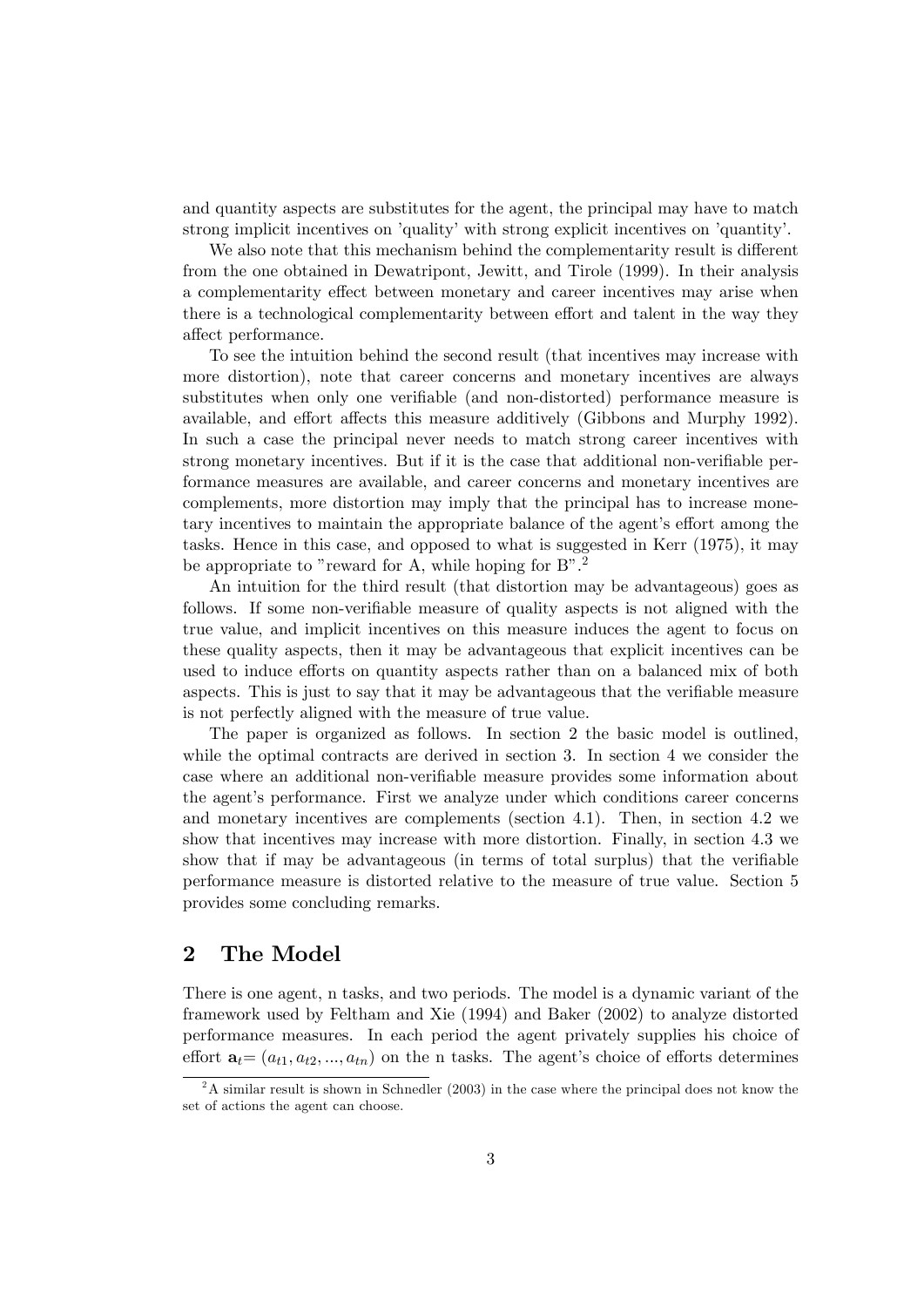and quantity aspects are substitutes for the agent, the principal may have to match strong implicit incentives on 'quality' with strong explicit incentives on 'quantity'.

We also note that this mechanism behind the complementarity result is different from the one obtained in Dewatripont, Jewitt, and Tirole (1999). In their analysis a complementarity effect between monetary and career incentives may arise when there is a technological complementarity between effort and talent in the way they affect performance.

To see the intuition behind the second result (that incentives may increase with more distortion), note that career concerns and monetary incentives are always substitutes when only one verifiable (and non-distorted) performance measure is available, and effort affects this measure additively (Gibbons and Murphy 1992). In such a case the principal never needs to match strong career incentives with strong monetary incentives. But if it is the case that additional non-verifiable performance measures are available, and career concerns and monetary incentives are complements, more distortion may imply that the principal has to increase monetary incentives to maintain the appropriate balance of the agent's effort among the tasks. Hence in this case, and opposed to what is suggested in Kerr (1975), it may be appropriate to "reward for A, while hoping for  $B$ ".<sup>2</sup>

An intuition for the third result (that distortion may be advantageous) goes as follows. If some non-verifiable measure of quality aspects is not aligned with the true value, and implicit incentives on this measure induces the agent to focus on these quality aspects, then it may be advantageous that explicit incentives can be used to induce efforts on quantity aspects rather than on a balanced mix of both aspects. This is just to say that it may be advantageous that the verifiable measure is not perfectly aligned with the measure of true value.

The paper is organized as follows. In section 2 the basic model is outlined, while the optimal contracts are derived in section 3. In section 4 we consider the case where an additional non-verifiable measure provides some information about the agent's performance. First we analyze under which conditions career concerns and monetary incentives are complements (section 4.1). Then, in section 4.2 we show that incentives may increase with more distortion. Finally, in section 4.3 we show that if may be advantageous (in terms of total surplus) that the verifiable performance measure is distorted relative to the measure of true value. Section 5 provides some concluding remarks.

## 2 The Model

There is one agent, n tasks, and two periods. The model is a dynamic variant of the framework used by Feltham and Xie (1994) and Baker (2002) to analyze distorted performance measures. In each period the agent privately supplies his choice of effort  $a_t = (a_{t1}, a_{t2}, ..., a_{tn})$  on the n tasks. The agent's choice of efforts determines

 $2^2$ A similar result is shown in Schnedler (2003) in the case where the principal does not know the set of actions the agent can choose.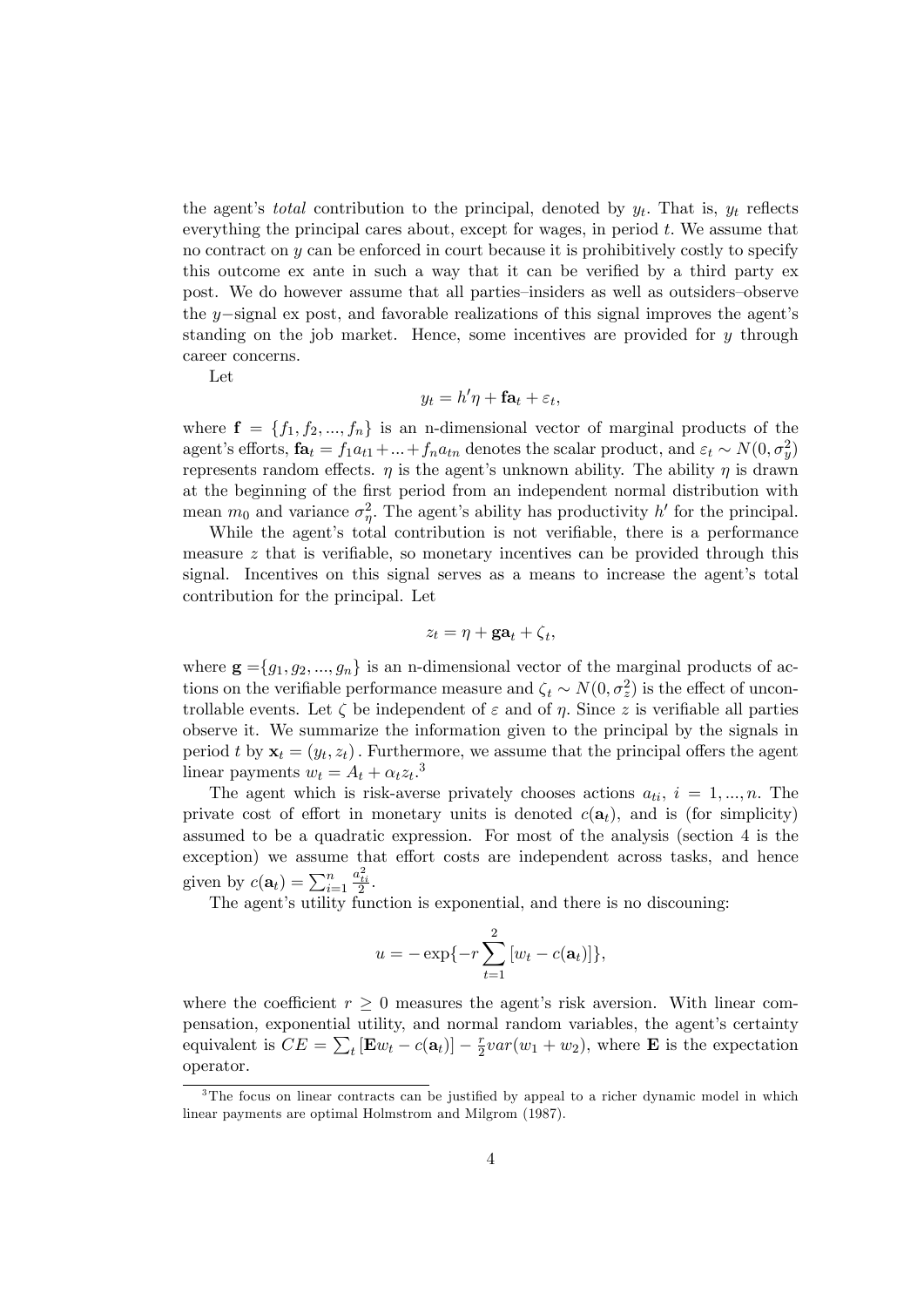the agent's *total* contribution to the principal, denoted by  $y_t$ . That is,  $y_t$  reflects everything the principal cares about, except for wages, in period t: We assume that no contract on  $y$  can be enforced in court because it is prohibitively costly to specify this outcome ex ante in such a way that it can be verified by a third party ex post. We do however assume that all parties–insiders as well as outsiders–observe the y-signal ex post, and favorable realizations of this signal improves the agent's standing on the job market. Hence, some incentives are provided for  $y$  through career concerns.

Let

$$
y_t = h'\eta + \mathbf{fa}_t + \varepsilon_t,
$$

where  $f = \{f_1, f_2, ..., f_n\}$  is an n-dimensional vector of marginal products of the agent's efforts,  $\mathbf{fa}_t = f_1a_{t1} + ... + f_na_{tn}$  denotes the scalar product, and  $\varepsilon_t \sim N(0, \sigma_y^2)$ represents random effects.  $\eta$  is the agent's unknown ability. The ability  $\eta$  is drawn at the beginning of the first period from an independent normal distribution with mean  $m_0$  and variance  $\sigma_{\eta}^2$ . The agent's ability has productivity h' for the principal.

While the agent's total contribution is not verifiable, there is a performance measure  $z$  that is verifiable, so monetary incentives can be provided through this signal. Incentives on this signal serves as a means to increase the agent's total contribution for the principal. Let

$$
z_t = \eta + \mathbf{ga}_t + \zeta_t,
$$

where  $\mathbf{g} = \{g_1, g_2, ..., g_n\}$  is an n-dimensional vector of the marginal products of actions on the verifiable performance measure and  $\zeta_t \sim N(0, \sigma_z^2)$  is the effect of uncontrollable events. Let  $\zeta$  be independent of  $\varepsilon$  and of  $\eta$ . Since z is verifiable all parties observe it. We summarize the information given to the principal by the signals in period t by  $\mathbf{x}_t = (y_t, z_t)$ . Furthermore, we assume that the principal offers the agent linear payments  $w_t = A_t + \alpha_t z_t$ .<sup>3</sup>

The agent which is risk-averse privately chooses actions  $a_{ti}$ ,  $i = 1, ..., n$ . The private cost of effort in monetary units is denoted  $c(\mathbf{a}_t)$ , and is (for simplicity) assumed to be a quadratic expression. For most of the analysis (section 4 is the exception) we assume that effort costs are independent across tasks, and hence given by  $c(\mathbf{a}_t) = \sum_{i=1}^n$  $\frac{a_{ti}^2}{2}.$ 

The agent's utility function is exponential, and there is no discouning:

$$
u = -\exp\{-r\sum_{t=1}^{2} [w_t - c(\mathbf{a}_t)]\},\,
$$

where the coefficient  $r > 0$  measures the agent's risk aversion. With linear compensation, exponential utility, and normal random variables, the agent's certainty equivalent is  $CE = \sum_{t} [\mathbf{E}w_t - c(\mathbf{a}_t)] - \frac{r}{2}$  $\frac{r}{2}var(w_1+w_2)$ , where **E** is the expectation operator.

 $3$ The focus on linear contracts can be justified by appeal to a richer dynamic model in which linear payments are optimal Holmstrom and Milgrom (1987).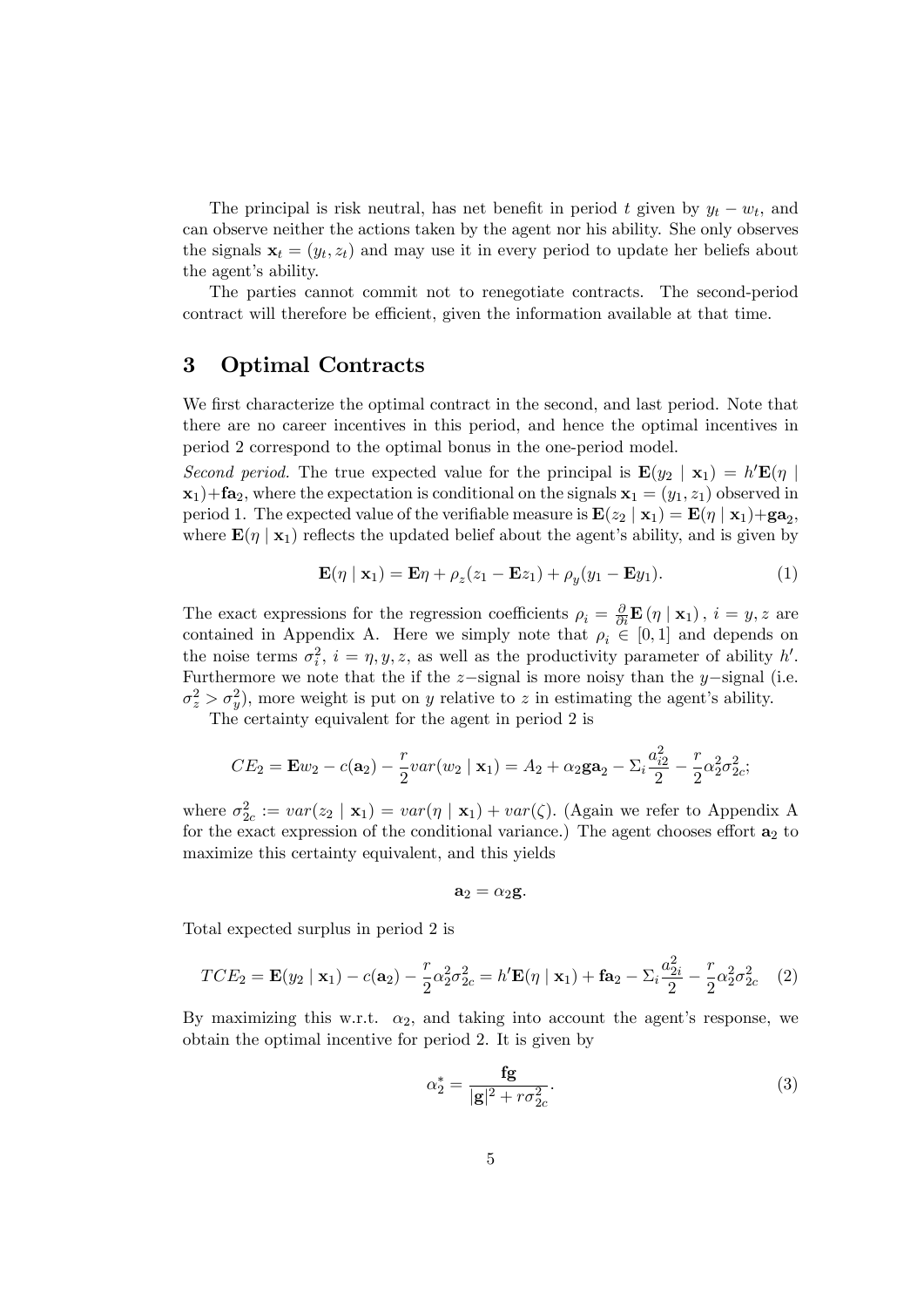The principal is risk neutral, has net benefit in period t given by  $y_t - w_t$ , and can observe neither the actions taken by the agent nor his ability. She only observes the signals  $\mathbf{x}_t = (y_t, z_t)$  and may use it in every period to update her beliefs about the agent's ability.

The parties cannot commit not to renegotiate contracts. The second-period contract will therefore be efficient, given the information available at that time.

## 3 Optimal Contracts

We first characterize the optimal contract in the second, and last period. Note that there are no career incentives in this period, and hence the optimal incentives in period 2 correspond to the optimal bonus in the one-period model.

Second period. The true expected value for the principal is  $\mathbf{E}(y_2 | \mathbf{x}_1) = h' \mathbf{E}(\eta)$  $\mathbf{x}_1$ )+ $\mathbf{fa}_2$ , where the expectation is conditional on the signals  $\mathbf{x}_1 = (y_1, z_1)$  observed in period 1. The expected value of the verifiable measure is  $\mathbf{E}(z_2 | \mathbf{x}_1) = \mathbf{E}(\eta | \mathbf{x}_1) + \mathbf{g}\mathbf{a}_2$ , where  $\mathbf{E}(\eta \mid \mathbf{x}_1)$  reflects the updated belief about the agent's ability, and is given by

$$
\mathbf{E}(\eta \mid \mathbf{x}_1) = \mathbf{E}\eta + \rho_z(z_1 - \mathbf{E}z_1) + \rho_y(y_1 - \mathbf{E}y_1). \tag{1}
$$

The exact expressions for the regression coefficients  $\rho_i = \frac{\partial}{\partial i} \mathbf{E}(\eta | \mathbf{x}_1), i = y, z$  are contained in Appendix A. Here we simply note that  $\rho_i \in [0, 1]$  and depends on the noise terms  $\sigma_i^2$ ,  $i = \eta, y, z$ , as well as the productivity parameter of ability h'. Furthermore we note that the if the  $z$ -signal is more noisy than the y-signal (i.e.  $\sigma_z^2 > \sigma_y^2$ , more weight is put on y relative to z in estimating the agent's ability.

The certainty equivalent for the agent in period 2 is

$$
CE_2 = \mathbf{E}w_2 - c(\mathbf{a}_2) - \frac{r}{2}var(w_2 \mid \mathbf{x}_1) = A_2 + \alpha_2 \mathbf{g} \mathbf{a}_2 - \sum_i \frac{a_{i2}^2}{2} - \frac{r}{2} \alpha_2^2 \sigma_{2c}^2;
$$

where  $\sigma_{2c}^2 := var(z_2 | \mathbf{x}_1) = var(\eta | \mathbf{x}_1) + var(\zeta)$ . (Again we refer to Appendix A for the exact expression of the conditional variance.) The agent chooses effort  $a_2$  to maximize this certainty equivalent, and this yields

$$
\mathbf{a}_2=\alpha_2\mathbf{g}.
$$

Total expected surplus in period 2 is

$$
TCE_2 = \mathbf{E}(y_2 \mid \mathbf{x}_1) - c(\mathbf{a}_2) - \frac{r}{2}\alpha_2^2 \sigma_{2c}^2 = h'\mathbf{E}(\eta \mid \mathbf{x}_1) + \mathbf{f}\mathbf{a}_2 - \sum_i \frac{a_{2i}^2}{2} - \frac{r}{2}\alpha_2^2 \sigma_{2c}^2 \tag{2}
$$

By maximizing this w.r.t.  $\alpha_2$ , and taking into account the agent's response, we obtain the optimal incentive for period 2. It is given by

$$
\alpha_2^* = \frac{\mathbf{fg}}{|\mathbf{g}|^2 + r\sigma_{2c}^2}.\tag{3}
$$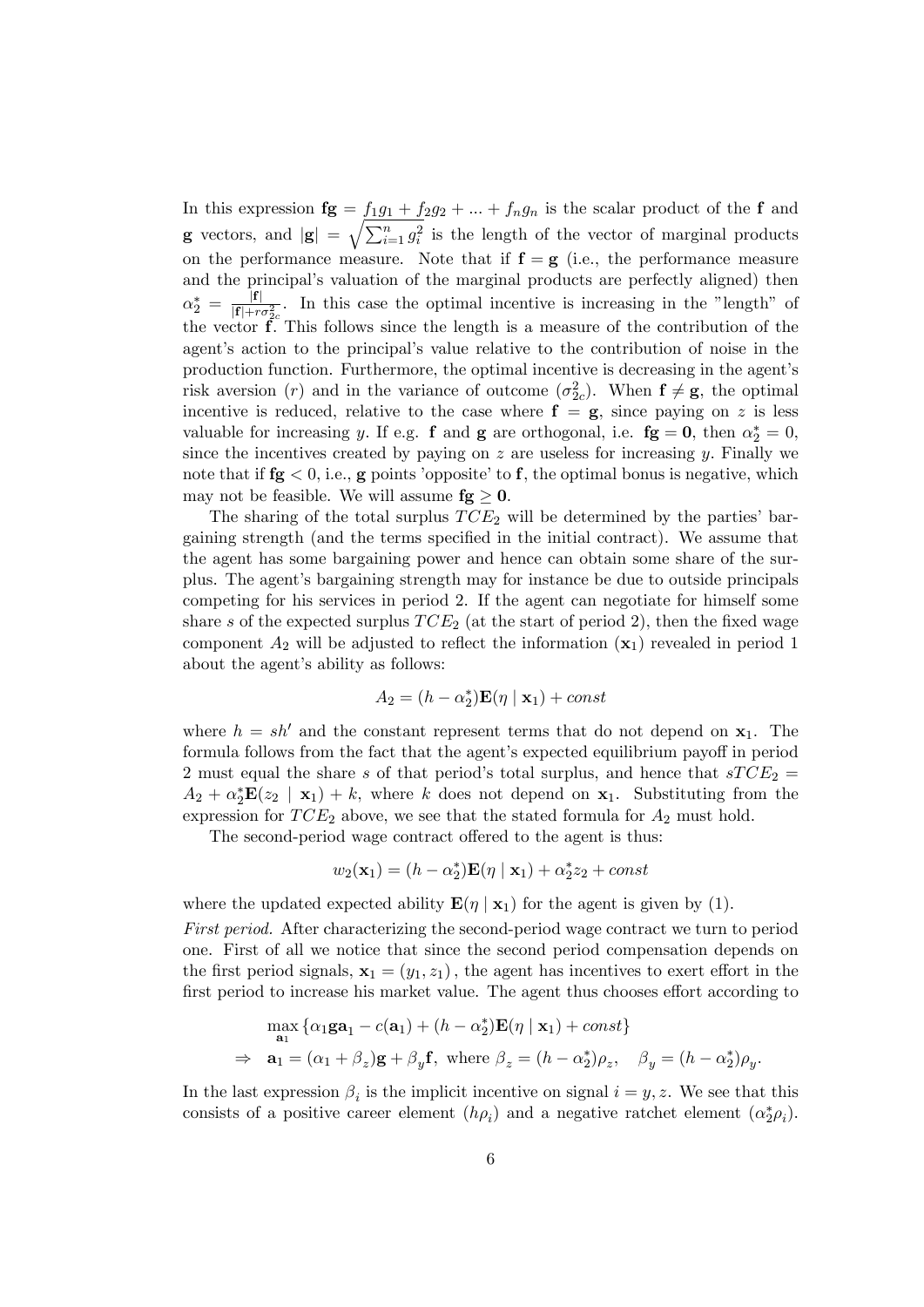In this expression  $\mathbf{fg} = f_1g_1 + f_2g_2 + \dots + f_ng_n$  is the scalar product of the f and **g** vectors, and  $|\mathbf{g}| = \sqrt{\sum_{i=1}^{n} g_i^2}$  is the length of the vector of marginal products on the performance measure. Note that if  $f = g$  (i.e., the performance measure and the principal's valuation of the marginal products are perfectly aligned) then  $\alpha_2^* \, = \, \frac{|{\bf f}|}{|{\bf f}| + r_2}$  $\frac{|I|}{|f|+r\sigma_{2c}^2}$ . In this case the optimal incentive is increasing in the "length" of the vector  $\tilde{f}$ . This follows since the length is a measure of the contribution of the agent's action to the principal's value relative to the contribution of noise in the production function. Furthermore, the optimal incentive is decreasing in the agentís risk aversion (*r*) and in the variance of outcome  $(\sigma_{2c}^2)$ . When  $f \neq g$ , the optimal incentive is reduced, relative to the case where  $f = g$ , since paying on z is less valuable for increasing y. If e.g. **f** and **g** are orthogonal, i.e. **fg** = **0**, then  $\alpha_2^* = 0$ , since the incentives created by paying on  $z$  are useless for increasing  $y$ . Finally we note that if  $fg < 0$ , i.e., g points 'opposite' to f, the optimal bonus is negative, which may not be feasible. We will assume  $fg \geq 0$ .

The sharing of the total surplus  $TCE_2$  will be determined by the parties' bargaining strength (and the terms specified in the initial contract). We assume that the agent has some bargaining power and hence can obtain some share of the surplus. The agentís bargaining strength may for instance be due to outside principals competing for his services in period 2. If the agent can negotiate for himself some share s of the expected surplus  $TCE_2$  (at the start of period 2), then the fixed wage component  $A_2$  will be adjusted to reflect the information  $(\mathbf{x}_1)$  revealed in period 1 about the agent's ability as follows:

$$
A_2 = (h - \alpha_2^*) \mathbf{E}(\eta \mid \mathbf{x}_1) + const
$$

where  $h = sh'$  and the constant represent terms that do not depend on  $x_1$ . The formula follows from the fact that the agent's expected equilibrium payoff in period 2 must equal the share s of that period's total surplus, and hence that  $STCE_2$  =  $A_2 + \alpha_2^* \mathbf{E}(z_2 \mid \mathbf{x}_1) + k$ , where k does not depend on  $\mathbf{x}_1$ . Substituting from the expression for  $TCE_2$  above, we see that the stated formula for  $A_2$  must hold.

The second-period wage contract offered to the agent is thus:

$$
w_2(\mathbf{x}_1) = (h - \alpha_2^*) \mathbf{E}(\eta \mid \mathbf{x}_1) + \alpha_2^* z_2 + const
$$

where the updated expected ability  $\mathbf{E}(\eta | \mathbf{x}_1)$  for the agent is given by (1).

First period. After characterizing the second-period wage contract we turn to period one. First of all we notice that since the second period compensation depends on the first period signals,  $\mathbf{x}_1 = (y_1, z_1)$ , the agent has incentives to exert effort in the first period to increase his market value. The agent thus chooses effort according to

$$
\max_{\mathbf{a}_1} \{ \alpha_1 \mathbf{g} \mathbf{a}_1 - c(\mathbf{a}_1) + (h - \alpha_2^*) \mathbf{E}(\eta \mid \mathbf{x}_1) + const \}
$$
  
\n
$$
\Rightarrow \mathbf{a}_1 = (\alpha_1 + \beta_z) \mathbf{g} + \beta_y \mathbf{f}, \text{ where } \beta_z = (h - \alpha_2^*) \rho_z, \quad \beta_y = (h - \alpha_2^*) \rho_y.
$$

In the last expression  $\beta_i$  is the implicit incentive on signal  $i = y, z$ . We see that this consists of a positive career element  $(h\rho_i)$  and a negative ratchet element  $(\alpha_2^*\rho_i)$ .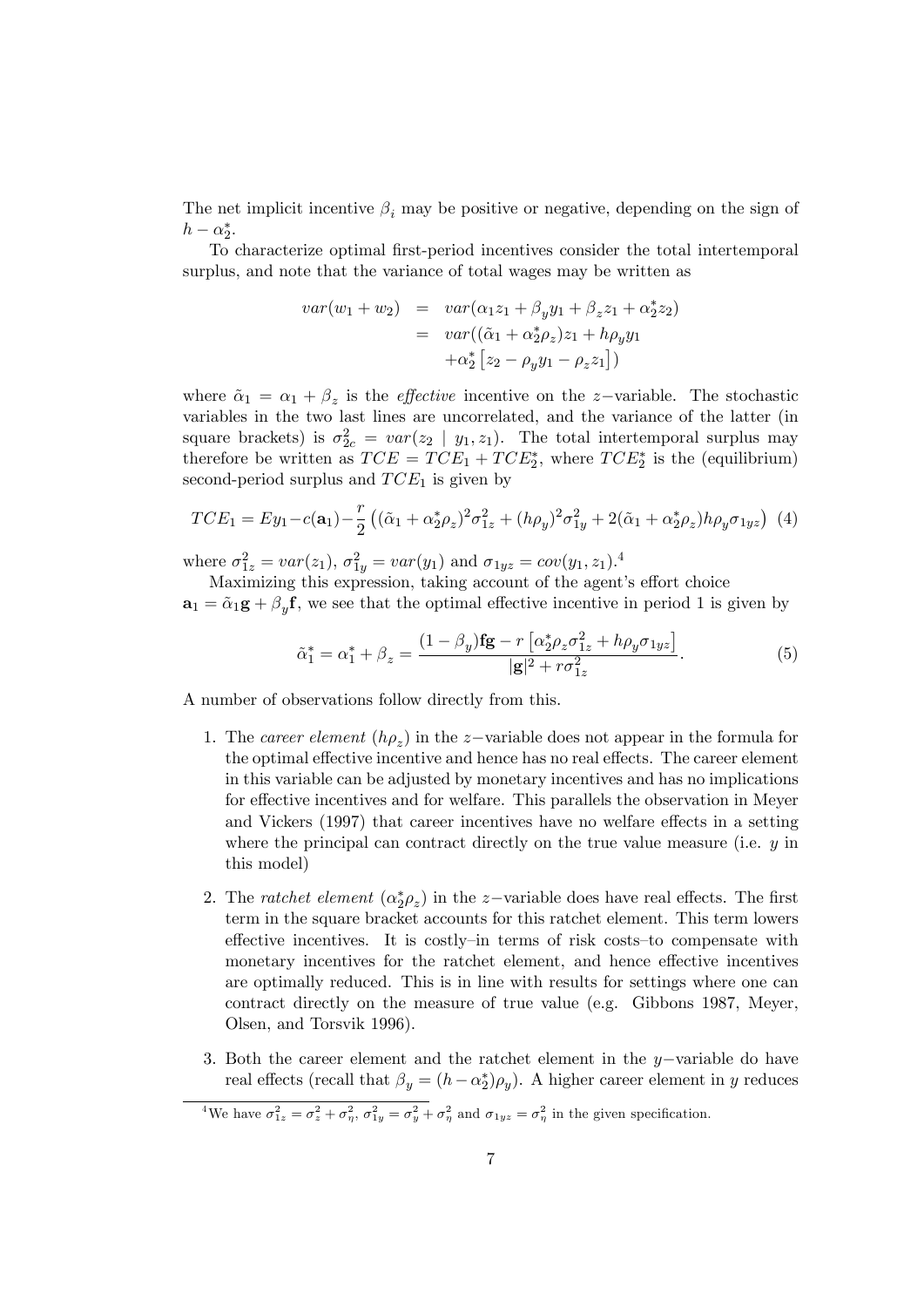The net implicit incentive  $\beta_i$  may be positive or negative, depending on the sign of  $h - \alpha_2^*$ .

To characterize optimal Örst-period incentives consider the total intertemporal surplus, and note that the variance of total wages may be written as

$$
var(w_1 + w_2) = var(\alpha_1 z_1 + \beta_y y_1 + \beta_z z_1 + \alpha_2^* z_2)
$$
  
= 
$$
var((\tilde{\alpha}_1 + \alpha_2^* \rho_z) z_1 + h \rho_y y_1 + \alpha_2^* [z_2 - \rho_y y_1 - \rho_z z_1])
$$

where  $\tilde{\alpha}_1 = \alpha_1 + \beta_z$  is the *effective* incentive on the *z*-variable. The stochastic variables in the two last lines are uncorrelated, and the variance of the latter (in square brackets) is  $\sigma_{2c}^2 = var(z_2 | y_1, z_1)$ . The total intertemporal surplus may therefore be written as  $TCE = TCE_1 + TCE_2^*$ , where  $TCE_2^*$  is the (equilibrium) second-period surplus and  $TCE_1$  is given by

$$
TCE_1 = Ey_1 - c(\mathbf{a}_1) - \frac{r}{2} \left( (\tilde{\alpha}_1 + \alpha_2^* \rho_z)^2 \sigma_{1z}^2 + (h\rho_y)^2 \sigma_{1y}^2 + 2(\tilde{\alpha}_1 + \alpha_2^* \rho_z) h\rho_y \sigma_{1yz} \right) (4)
$$

where  $\sigma_{1z}^2 = var(z_1), \sigma_{1y}^2 = var(y_1)$  and  $\sigma_{1yz} = cov(y_1, z_1)$ .<sup>4</sup>

Maximizing this expression, taking account of the agent's effort choice  $\mathbf{a}_1 = \tilde{\alpha}_1 \mathbf{g} + \beta_y \mathbf{f}$ , we see that the optimal effective incentive in period 1 is given by

$$
\tilde{\alpha}_1^* = \alpha_1^* + \beta_z = \frac{(1 - \beta_y)\mathbf{fg} - r\left[\alpha_2^*\rho_z\sigma_{1z}^2 + h\rho_y\sigma_{1yz}\right]}{|\mathbf{g}|^2 + r\sigma_{1z}^2}.
$$
\n(5)

A number of observations follow directly from this.

- 1. The career element  $(h\rho_z)$  in the z-variable does not appear in the formula for the optimal effective incentive and hence has no real effects. The career element in this variable can be adjusted by monetary incentives and has no implications for effective incentives and for welfare. This parallels the observation in Meyer and Vickers (1997) that career incentives have no welfare effects in a setting where the principal can contract directly on the true value measure (i.e.  $y$  in this model)
- 2. The *ratchet element*  $(\alpha_2^*\rho_z)$  in the *z*-variable does have real effects. The first term in the square bracket accounts for this ratchet element. This term lowers effective incentives. It is costly-in terms of risk costs-to compensate with monetary incentives for the ratchet element, and hence effective incentives are optimally reduced. This is in line with results for settings where one can contract directly on the measure of true value (e.g. Gibbons 1987, Meyer, Olsen, and Torsvik 1996).
- 3. Both the career element and the ratchet element in the  $y$ -variable do have real effects (recall that  $\beta_y = (h - \alpha_2^*) \rho_y$ ). A higher career element in y reduces

<sup>&</sup>lt;sup>4</sup>We have  $\sigma_{1z}^2 = \sigma_z^2 + \sigma_{\eta}^2$ ,  $\sigma_{1y}^2 = \sigma_y^2 + \sigma_{\eta}^2$  and  $\sigma_{1yz} = \sigma_{\eta}^2$  in the given specification.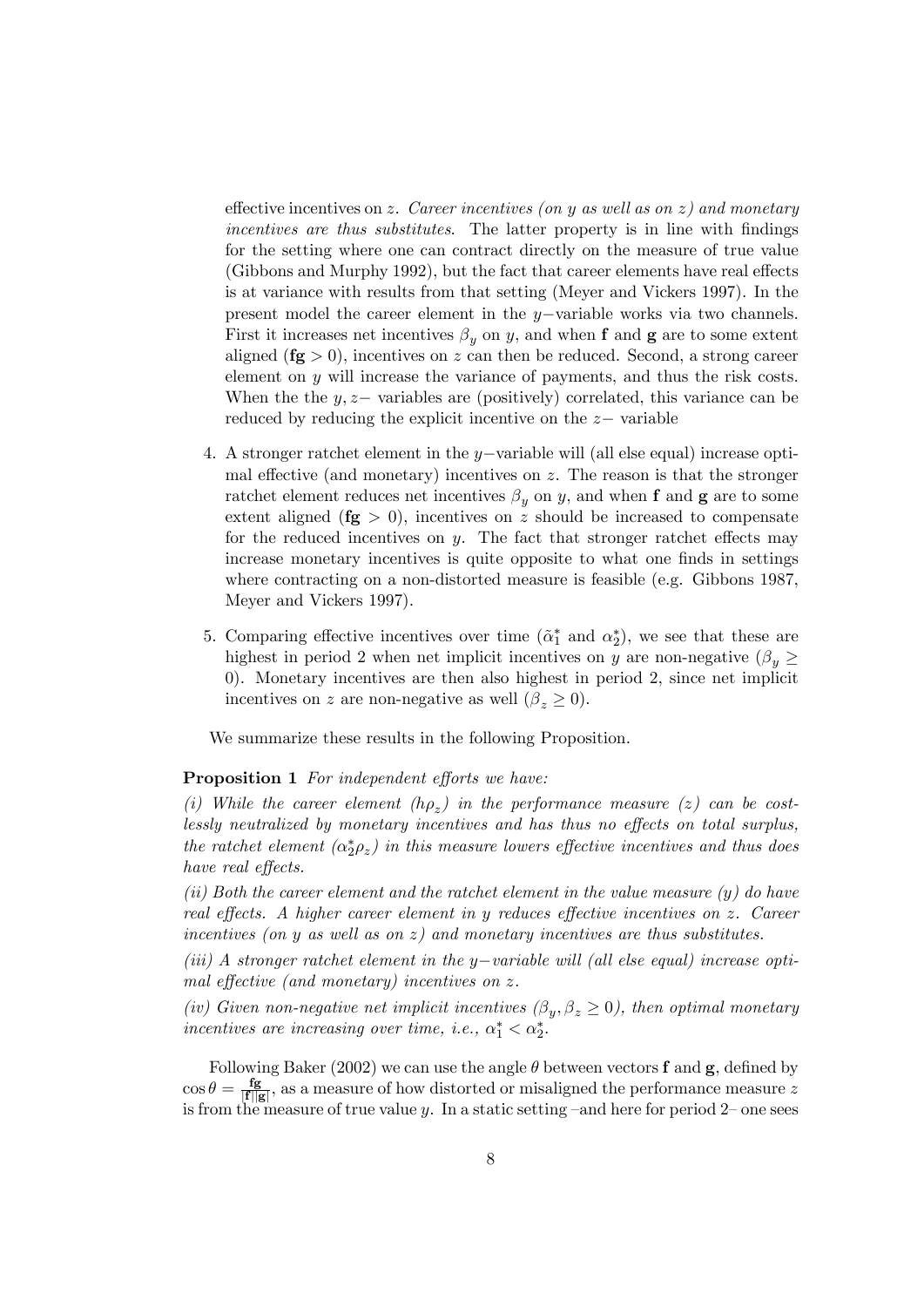effective incentives on z. Career incentives (on y as well as on z) and monetary incentives are thus substitutes. The latter property is in line with findings for the setting where one can contract directly on the measure of true value (Gibbons and Murphy 1992), but the fact that career elements have real effects is at variance with results from that setting (Meyer and Vickers 1997). In the present model the career element in the  $y$ -variable works via two channels. First it increases net incentives  $\beta_y$  on y, and when f and g are to some extent aligned  $(f\mathbf{g} > 0)$ , incentives on z can then be reduced. Second, a strong career element on  $y$  will increase the variance of payments, and thus the risk costs. When the the  $y, z$  variables are (positively) correlated, this variance can be reduced by reducing the explicit incentive on the  $z-$  variable

- 4. A stronger ratchet element in the y-variable will (all else equal) increase optimal effective (and monetary) incentives on  $z$ . The reason is that the stronger ratchet element reduces net incentives  $\beta_y$  on y, and when f and g are to some extent aligned  $(fg > 0)$ , incentives on z should be increased to compensate for the reduced incentives on  $y$ . The fact that stronger ratchet effects may increase monetary incentives is quite opposite to what one finds in settings where contracting on a non-distorted measure is feasible (e.g. Gibbons 1987, Meyer and Vickers 1997).
- 5. Comparing effective incentives over time  $(\tilde{\alpha}_1^*$  and  $\alpha_2^*$ ), we see that these are highest in period 2 when net implicit incentives on y are non-negative  $(\beta_y \geq$ 0). Monetary incentives are then also highest in period 2, since net implicit incentives on z are non-negative as well  $(\beta_z \geq 0)$ .

We summarize these results in the following Proposition.

#### **Proposition 1** For independent efforts we have:

(i) While the career element  $(h\rho_z)$  in the performance measure (z) can be costlessly neutralized by monetary incentives and has thus no effects on total surplus, the ratchet element  $(\alpha_2^*\rho_z)$  in this measure lowers effective incentives and thus does have real effects.

(ii) Both the career element and the ratchet element in the value measure  $(y)$  do have real effects. A higher career element in y reduces effective incentives on  $z$ . Career incentives (on y as well as on  $z$ ) and monetary incentives are thus substitutes.

(iii) A stronger ratchet element in the  $y$ -variable will (all else equal) increase optimal effective (and monetary) incentives on  $z$ .

(iv) Given non-negative net implicit incentives  $(\beta_y, \beta_z \ge 0)$ , then optimal monetary incentives are increasing over time, i.e.,  $\alpha_1^* < \alpha_2^*$ .

Following Baker (2002) we can use the angle  $\theta$  between vectors **f** and **g**, defined by  $\cos \theta = \frac{\text{fg}}{|\text{f}||_6}$  $\frac{fg}{|f||g|}$ , as a measure of how distorted or misaligned the performance measure z is from the measure of true value y. In a static setting  $-$  and here for period 2– one sees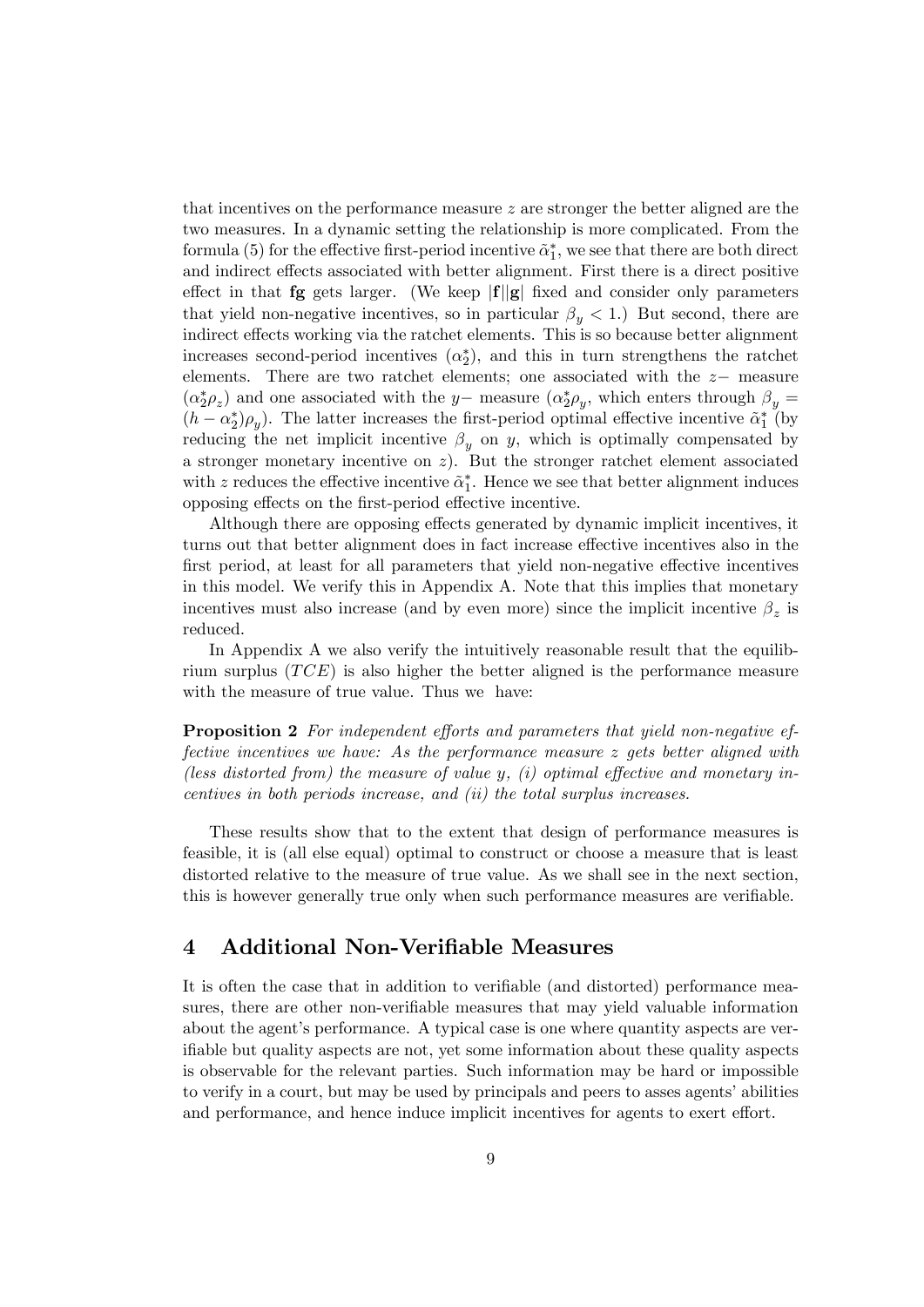that incentives on the performance measure z are stronger the better aligned are the two measures. In a dynamic setting the relationship is more complicated. From the formula (5) for the effective first-period incentive  $\tilde{\alpha}_1^*$ , we see that there are both direct and indirect effects associated with better alignment. First there is a direct positive effect in that **fg** gets larger. (We keep  $|f||g|$  fixed and consider only parameters that yield non-negative incentives, so in particular  $\beta_y < 1$ .) But second, there are indirect effects working via the ratchet elements. This is so because better alignment increases second-period incentives  $(\alpha_2^*)$ , and this in turn strengthens the ratchet elements. There are two ratchet elements; one associated with the  $z-$  measure  $(\alpha_2^*\rho_z)$  and one associated with the y- measure  $(\alpha_2^*\rho_y)$ , which enters through  $\beta_y =$  $(h - \alpha_2^*)\rho_y$ ). The latter increases the first-period optimal effective incentive  $\tilde{\alpha}_1^*$  (by reducing the net implicit incentive  $\beta_y$  on y, which is optimally compensated by a stronger monetary incentive on  $z$ ). But the stronger ratchet element associated with z reduces the effective incentive  $\tilde{\alpha}_1^*$ . Hence we see that better alignment induces opposing effects on the first-period effective incentive.

Although there are opposing effects generated by dynamic implicit incentives, it turns out that better alignment does in fact increase effective incentives also in the first period, at least for all parameters that yield non-negative effective incentives in this model. We verify this in Appendix A. Note that this implies that monetary incentives must also increase (and by even more) since the implicit incentive  $\beta_z$  is reduced.

In Appendix A we also verify the intuitively reasonable result that the equilibrium surplus  $(TCE)$  is also higher the better aligned is the performance measure with the measure of true value. Thus we have:

**Proposition 2** For independent efforts and parameters that yield non-negative effective incentives we have: As the performance measure z gets better aligned with (less distorted from) the measure of value y, (i) optimal effective and monetary incentives in both periods increase, and (ii) the total surplus increases.

These results show that to the extent that design of performance measures is feasible, it is (all else equal) optimal to construct or choose a measure that is least distorted relative to the measure of true value. As we shall see in the next section, this is however generally true only when such performance measures are verifiable.

## 4 Additional Non-Verifiable Measures

It is often the case that in addition to verifiable (and distorted) performance measures, there are other non-verifiable measures that may yield valuable information about the agent's performance. A typical case is one where quantity aspects are verif able but quality aspects are not, yet some information about these quality aspects is observable for the relevant parties. Such information may be hard or impossible to verify in a court, but may be used by principals and peers to asses agents' abilities and performance, and hence induce implicit incentives for agents to exert effort.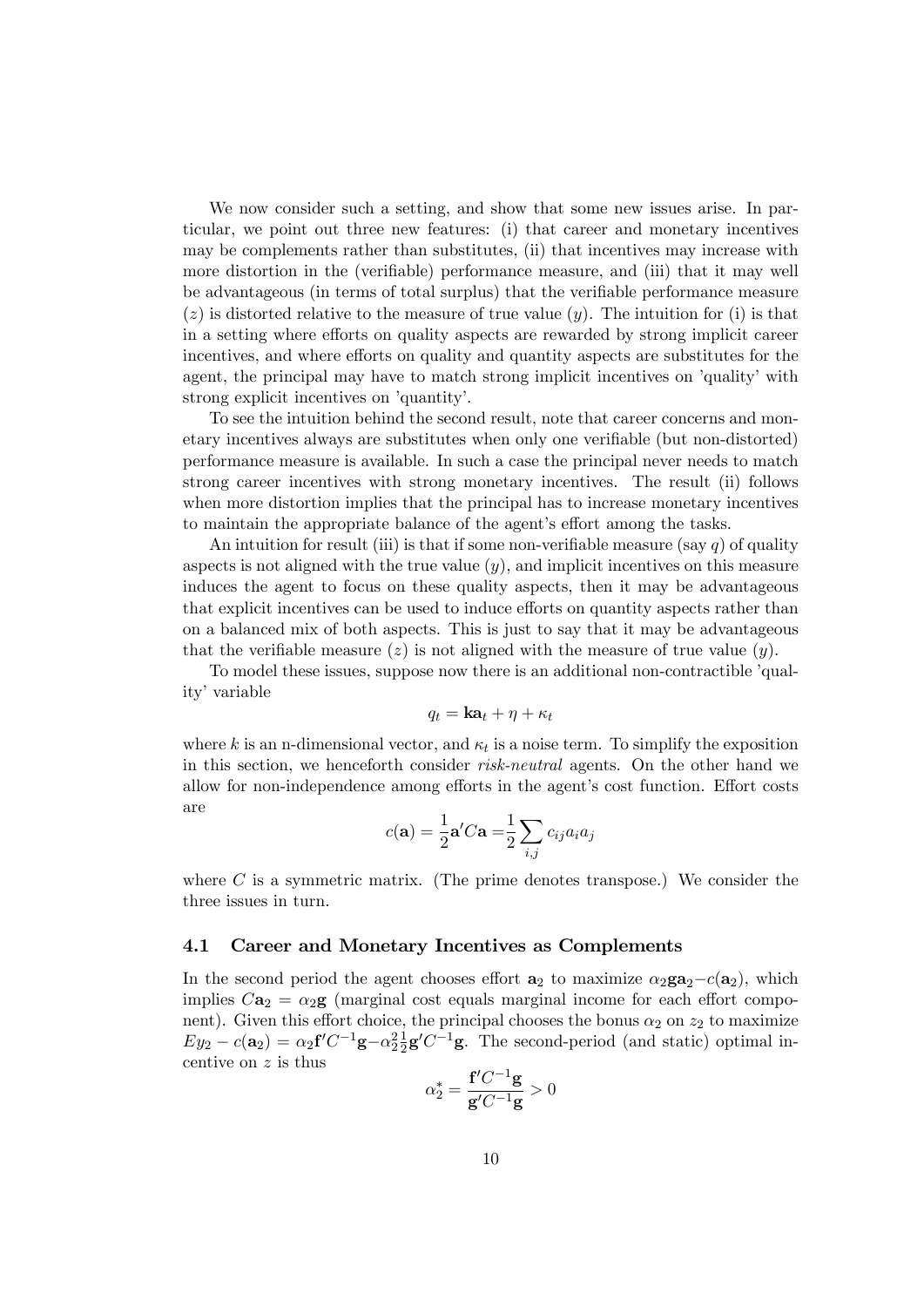We now consider such a setting, and show that some new issues arise. In particular, we point out three new features: (i) that career and monetary incentives may be complements rather than substitutes, (ii) that incentives may increase with more distortion in the (verifiable) performance measure, and (iii) that it may well be advantageous (in terms of total surplus) that the verifiable performance measure  $(z)$  is distorted relative to the measure of true value  $(y)$ . The intuition for (i) is that in a setting where efforts on quality aspects are rewarded by strong implicit career incentives, and where efforts on quality and quantity aspects are substitutes for the agent, the principal may have to match strong implicit incentives on 'quality' with strong explicit incentives on 'quantity'.

To see the intuition behind the second result, note that career concerns and monetary incentives always are substitutes when only one verifiable (but non-distorted) performance measure is available. In such a case the principal never needs to match strong career incentives with strong monetary incentives. The result (ii) follows when more distortion implies that the principal has to increase monetary incentives to maintain the appropriate balance of the agent's effort among the tasks.

An intuition for result (iii) is that if some non-verifiable measure (say  $q$ ) of quality aspects is not aligned with the true value  $(y)$ , and implicit incentives on this measure induces the agent to focus on these quality aspects, then it may be advantageous that explicit incentives can be used to induce efforts on quantity aspects rather than on a balanced mix of both aspects. This is just to say that it may be advantageous that the verifiable measure (z) is not aligned with the measure of true value  $(y)$ .

To model these issues, suppose now there is an additional non-contractible *qual*ity' variable

$$
q_t = \mathbf{ka}_t + \eta + \kappa_t
$$

where k is an n-dimensional vector, and  $\kappa_t$  is a noise term. To simplify the exposition in this section, we henceforth consider risk-neutral agents. On the other hand we allow for non-independence among efforts in the agent's cost function. Effort costs are

$$
c(\mathbf{a}) = \frac{1}{2}\mathbf{a}'C\mathbf{a} = \frac{1}{2}\sum_{i,j} c_{ij}a_i a_j
$$

where  $C$  is a symmetric matrix. (The prime denotes transpose.) We consider the three issues in turn.

#### 4.1 Career and Monetary Incentives as Complements

In the second period the agent chooses effort  $\mathbf{a}_2$  to maximize  $\alpha_2 \mathbf{g} \mathbf{a}_2 - c(\mathbf{a}_2)$ , which implies  $C\mathbf{a}_2 = \alpha_2 \mathbf{g}$  (marginal cost equals marginal income for each effort component). Given this effort choice, the principal chooses the bonus  $\alpha_2$  on  $z_2$  to maximize  $Ey_2 - c(\mathbf{a}_2) = \alpha_2 \mathbf{f}' C^{-1} \mathbf{g} - \alpha_2^2 \frac{1}{2}$  $\frac{1}{2}$ **g**' $C^{-1}$ **g**. The second-period (and static) optimal incentive on z is thus 1g

$$
\alpha_2^* = \frac{\mathbf{f}' C^{-1} \mathbf{g}}{\mathbf{g}' C^{-1} \mathbf{g}} > 0
$$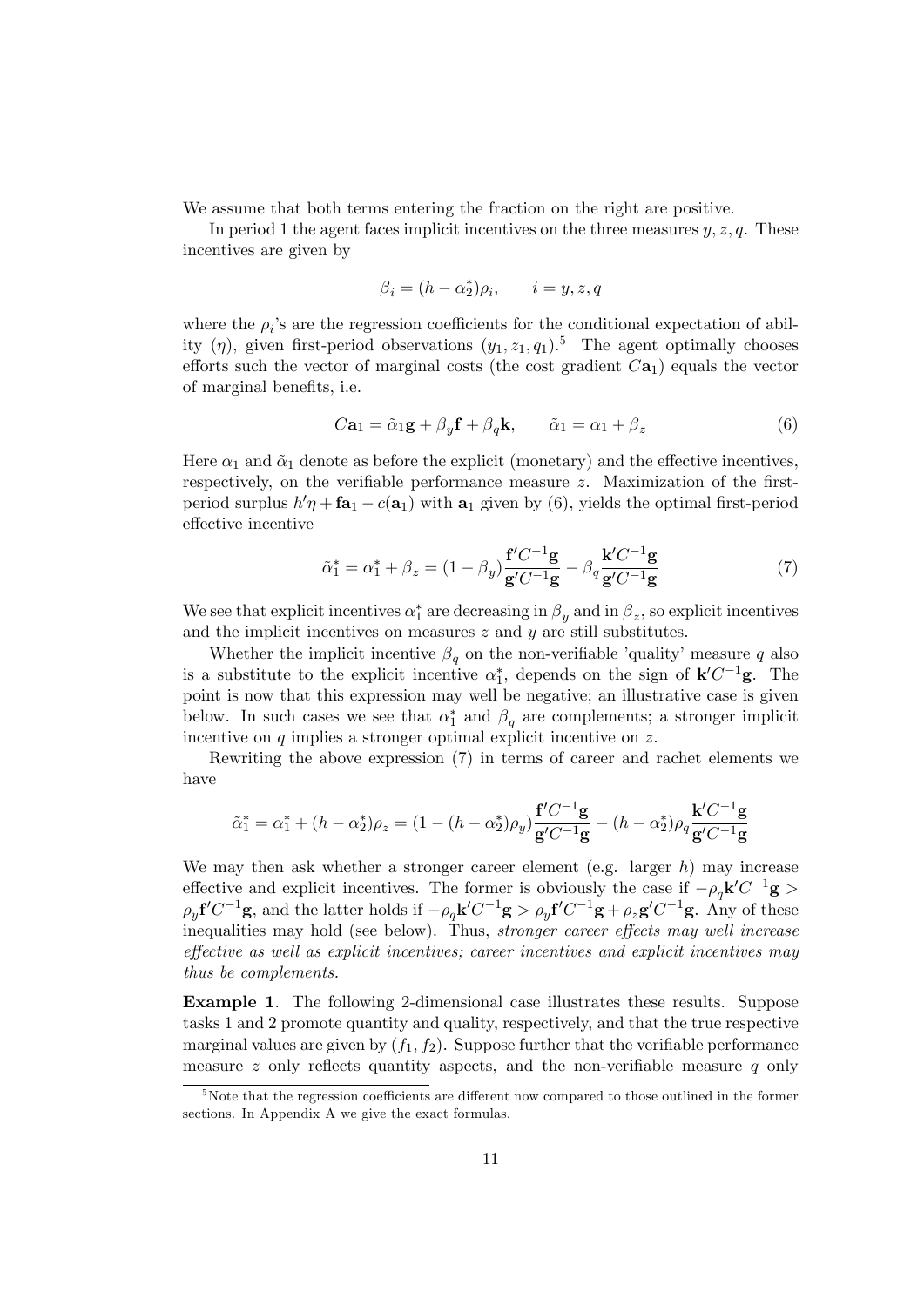We assume that both terms entering the fraction on the right are positive.

In period 1 the agent faces implicit incentives on the three measures  $y, z, q$ . These incentives are given by

$$
\beta_i = (h - \alpha_2^*)\rho_i, \qquad i = y, z, q
$$

where the  $\rho_i$ 's are the regression coefficients for the conditional expectation of ability  $(\eta)$ , given first-period observations  $(y_1, z_1, q_1)$ .<sup>5</sup> The agent optimally chooses efforts such the vector of marginal costs (the cost gradient  $Ca<sub>1</sub>$ ) equals the vector of marginal benefits, i.e.

$$
C\mathbf{a}_1 = \tilde{\alpha}_1 \mathbf{g} + \beta_y \mathbf{f} + \beta_q \mathbf{k}, \qquad \tilde{\alpha}_1 = \alpha_1 + \beta_z \tag{6}
$$

Here  $\alpha_1$  and  $\tilde{\alpha}_1$  denote as before the explicit (monetary) and the effective incentives, respectively, on the verifiable performance measure  $z$ . Maximization of the firstperiod surplus  $h' \eta + \mathbf{fa}_1 - c(\mathbf{a}_1)$  with  $\mathbf{a}_1$  given by (6), yields the optimal first-period effective incentive

$$
\tilde{\alpha}_1^* = \alpha_1^* + \beta_z = (1 - \beta_y) \frac{\mathbf{f}' C^{-1} \mathbf{g}}{\mathbf{g}' C^{-1} \mathbf{g}} - \beta_q \frac{\mathbf{k}' C^{-1} \mathbf{g}}{\mathbf{g}' C^{-1} \mathbf{g}}
$$
(7)

We see that explicit incentives  $\alpha_1^*$  are decreasing in  $\beta_y$  and in  $\beta_z$ , so explicit incentives and the implicit incentives on measures  $z$  and  $y$  are still substitutes.

Whether the implicit incentive  $\beta_q$  on the non-verifiable 'quality' measure q also is a substitute to the explicit incentive  $\alpha_1^*$ , depends on the sign of  $\mathbf{k}' C^{-1} \mathbf{g}$ . The point is now that this expression may well be negative; an illustrative case is given below. In such cases we see that  $\alpha_1^*$  and  $\beta_q$  are complements; a stronger implicit incentive on q implies a stronger optimal explicit incentive on z.

Rewriting the above expression (7) in terms of career and rachet elements we have

$$
\tilde{\alpha}_1^* = \alpha_1^* + (h - \alpha_2^*)\rho_z = (1 - (h - \alpha_2^*)\rho_y) \frac{\mathbf{f}'C^{-1}\mathbf{g}}{\mathbf{g}'C^{-1}\mathbf{g}} - (h - \alpha_2^*)\rho_q \frac{\mathbf{k}'C^{-1}\mathbf{g}}{\mathbf{g}'C^{-1}\mathbf{g}}
$$

We may then ask whether a stronger career element (e.g. larger  $h$ ) may increase effective and explicit incentives. The former is obviously the case if  $-\rho_q \mathbf{k}' C^{-1} \mathbf{g} >$  $\rho_y f'C^{-1}g$ , and the latter holds if  $-\rho_q k'C^{-1}g > \rho_y f'C^{-1}g + \rho_z g'C^{-1}g$ . Any of these inequalities may hold (see below). Thus, *stronger career effects may well increase*  $effective$  as well as explicit incentives; career incentives and explicit incentives may thus be complements.

Example 1. The following 2-dimensional case illustrates these results. Suppose tasks 1 and 2 promote quantity and quality, respectively, and that the true respective marginal values are given by  $(f_1, f_2)$ . Suppose further that the verifiable performance measure z only reflects quantity aspects, and the non-verifiable measure  $q$  only

 $5$ Note that the regression coefficients are different now compared to those outlined in the former sections. In Appendix A we give the exact formulas.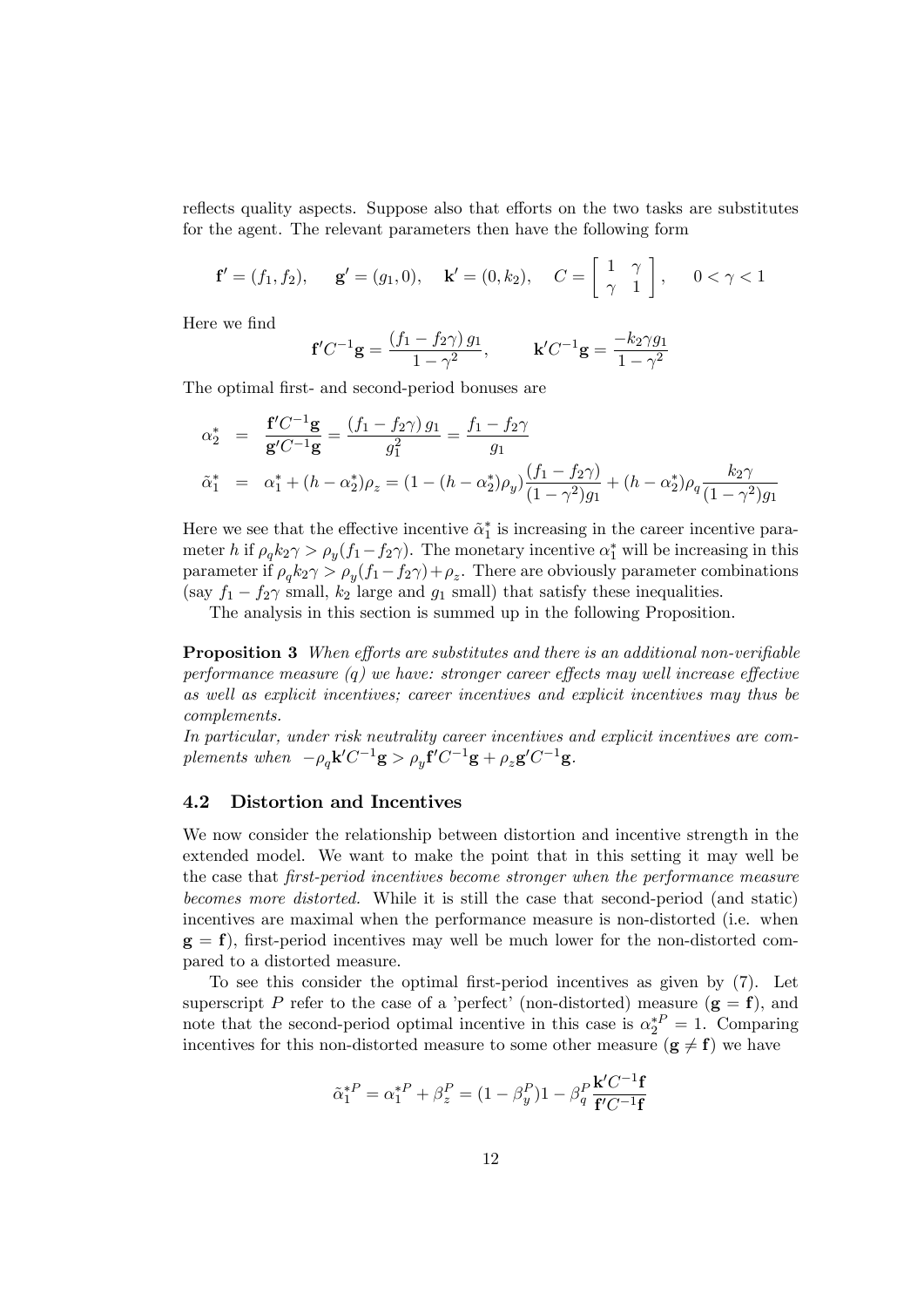reflects quality aspects. Suppose also that efforts on the two tasks are substitutes for the agent. The relevant parameters then have the following form

$$
\mathbf{f}' = (f_1, f_2), \quad \mathbf{g}' = (g_1, 0), \quad \mathbf{k}' = (0, k_2), \quad C = \begin{bmatrix} 1 & \gamma \\ \gamma & 1 \end{bmatrix}, \quad 0 < \gamma < 1
$$

Here we find

$$
\mathbf{f}'C^{-1}\mathbf{g} = \frac{(f_1 - f_2\gamma) g_1}{1 - \gamma^2}, \qquad \mathbf{k}'C^{-1}\mathbf{g} = \frac{-k_2\gamma g_1}{1 - \gamma^2}
$$

The optimal first- and second-period bonuses are

$$
\alpha_2^* = \frac{\mathbf{f}'C^{-1}\mathbf{g}}{\mathbf{g}'C^{-1}\mathbf{g}} = \frac{(f_1 - f_2\gamma)g_1}{g_1^2} = \frac{f_1 - f_2\gamma}{g_1}
$$
  
\n
$$
\tilde{\alpha}_1^* = \alpha_1^* + (h - \alpha_2^*)\rho_z = (1 - (h - \alpha_2^*)\rho_y)\frac{(f_1 - f_2\gamma)}{(1 - \gamma^2)g_1} + (h - \alpha_2^*)\rho_q\frac{k_2\gamma}{(1 - \gamma^2)g_1}
$$

Here we see that the effective incentive  $\tilde{\alpha}_1^*$  is increasing in the career incentive parameter h if  $\rho_q k_2 \gamma > \rho_y (f_1 - f_2 \gamma)$ . The monetary incentive  $\alpha_1^*$  will be increasing in this parameter if  $\rho_q k_2 \gamma > \rho_y (f_1 - f_2 \gamma) + \rho_z$ . There are obviously parameter combinations (say  $f_1 - f_2 \gamma$  small,  $k_2$  large and  $g_1$  small) that satisfy these inequalities.

The analysis in this section is summed up in the following Proposition.

**Proposition 3** When efforts are substitutes and there is an additional non-verifiable performance measure  $(q)$  we have: stronger career effects may well increase effective as well as explicit incentives; career incentives and explicit incentives may thus be complements.

In particular, under risk neutrality career incentives and explicit incentives are complements when  $-\rho_q \mathbf{k}' C^{-1} \mathbf{g} > \rho_y \mathbf{f}' C^{-1} \mathbf{g} + \rho_z \mathbf{g}' C^{-1} \mathbf{g}$ .

#### 4.2 Distortion and Incentives

We now consider the relationship between distortion and incentive strength in the extended model. We want to make the point that in this setting it may well be the case that first-period incentives become stronger when the performance measure becomes more distorted. While it is still the case that second-period (and static) incentives are maximal when the performance measure is non-distorted (i.e. when  $g = f$ , first-period incentives may well be much lower for the non-distorted compared to a distorted measure.

To see this consider the optimal first-period incentives as given by  $(7)$ . Let superscript P refer to the case of a 'perfect' (non-distorted) measure  $(g = f)$ , and note that the second-period optimal incentive in this case is  $\alpha_2^*^P = 1$ . Comparing incentives for this non-distorted measure to some other measure  $(g \neq f)$  we have

$$
\tilde{\alpha}_1^{*P} = \alpha_1^{*P} + \beta_z^P = (1 - \beta_y^P)1 - \beta_q^P \frac{\mathbf{k}' C^{-1} \mathbf{f}}{\mathbf{f}' C^{-1} \mathbf{f}}
$$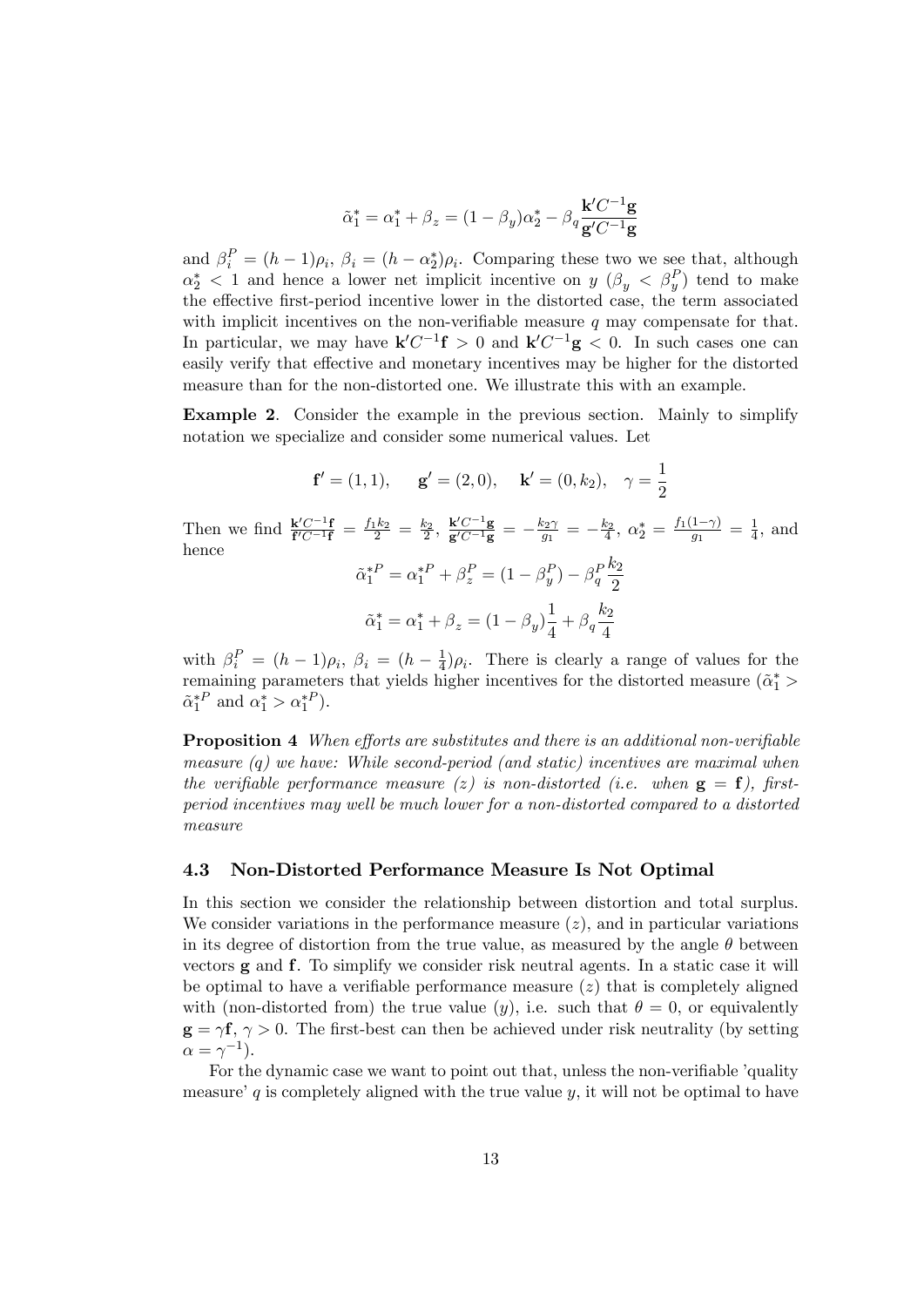$$
\tilde{\alpha}_1^*=\alpha_1^*+\beta_z=(1-\beta_y)\alpha_2^*-\beta_q\frac{\mathbf{k}'C^{-1}\mathbf{g}}{\mathbf{g}'C^{-1}\mathbf{g}}
$$

and  $\beta_i^P = (h-1)\rho_i$ ,  $\beta_i = (h-\alpha_2^*)\rho_i$ . Comparing these two we see that, although  $\alpha_2^*$  < 1 and hence a lower net implicit incentive on  $y \ (\beta_y \ < \ \beta_y^P)$  tend to make the effective first-period incentive lower in the distorted case, the term associated with implicit incentives on the non-verifiable measure  $q$  may compensate for that. In particular, we may have  $\mathbf{k}' C^{-1} \mathbf{f} > 0$  and  $\mathbf{k}' C^{-1} \mathbf{g} < 0$ . In such cases one can easily verify that effective and monetary incentives may be higher for the distorted measure than for the non-distorted one. We illustrate this with an example.

Example 2. Consider the example in the previous section. Mainly to simplify notation we specialize and consider some numerical values. Let

$$
\mathbf{f}' = (1, 1), \quad \mathbf{g}' = (2, 0), \quad \mathbf{k}' = (0, k_2), \quad \gamma = \frac{1}{2}
$$
  
Then we find  $\frac{\mathbf{k}' C^{-1} \mathbf{f}}{\mathbf{f}' C^{-1} \mathbf{f}} = \frac{f_1 k_2}{2} = \frac{k_2}{2}, \frac{\mathbf{k}' C^{-1} \mathbf{g}}{\mathbf{g}' C^{-1} \mathbf{g}} = -\frac{k_2 \gamma}{g_1} = -\frac{k_2}{4}, \quad \alpha_2^* = \frac{f_1(1-\gamma)}{g_1} = \frac{1}{4},$  and  
hence  

$$
\tilde{\alpha}_1^{*P} = \alpha_1^{*P} + \beta_z^P = (1 - \beta_y^P) - \beta_q^P \frac{k_2}{2}
$$

$$
\tilde{\alpha}_1^* = \alpha_1^* + \beta_z = (1 - \beta_y) \frac{1}{4} + \beta_q \frac{k_2}{4}
$$

with  $\beta_i^P = (h-1)\rho_i, \ \beta_i = (h - \frac{1}{4})$  $\frac{1}{4}$ ) $\rho_i$ . There is clearly a range of values for the remaining parameters that yields higher incentives for the distorted measure  $(\tilde{\alpha}_1^*$  $\tilde{\alpha}_1^{*P}$  and  $\alpha_1^* > \alpha_1^{*P}$ ).

**Proposition 4** When efforts are substitutes and there is an additional non-verifiable measure  $(q)$  we have: While second-period (and static) incentives are maximal when the verifiable performance measure (z) is non-distorted (i.e. when  $g = f$ ), firstperiod incentives may well be much lower for a non-distorted compared to a distorted measure

#### 4.3 Non-Distorted Performance Measure Is Not Optimal

In this section we consider the relationship between distortion and total surplus. We consider variations in the performance measure  $(z)$ , and in particular variations in its degree of distortion from the true value, as measured by the angle  $\theta$  between vectors g and f. To simplify we consider risk neutral agents. In a static case it will be optimal to have a verifiable performance measure  $(z)$  that is completely aligned with (non-distorted from) the true value  $(y)$ , i.e. such that  $\theta = 0$ , or equivalently  $g = \gamma f$ ,  $\gamma > 0$ . The first-best can then be achieved under risk neutrality (by setting  $\alpha = \gamma^{-1}$ ).

For the dynamic case we want to point out that, unless the non-verifiable 'quality measure' q is completely aligned with the true value  $y$ , it will not be optimal to have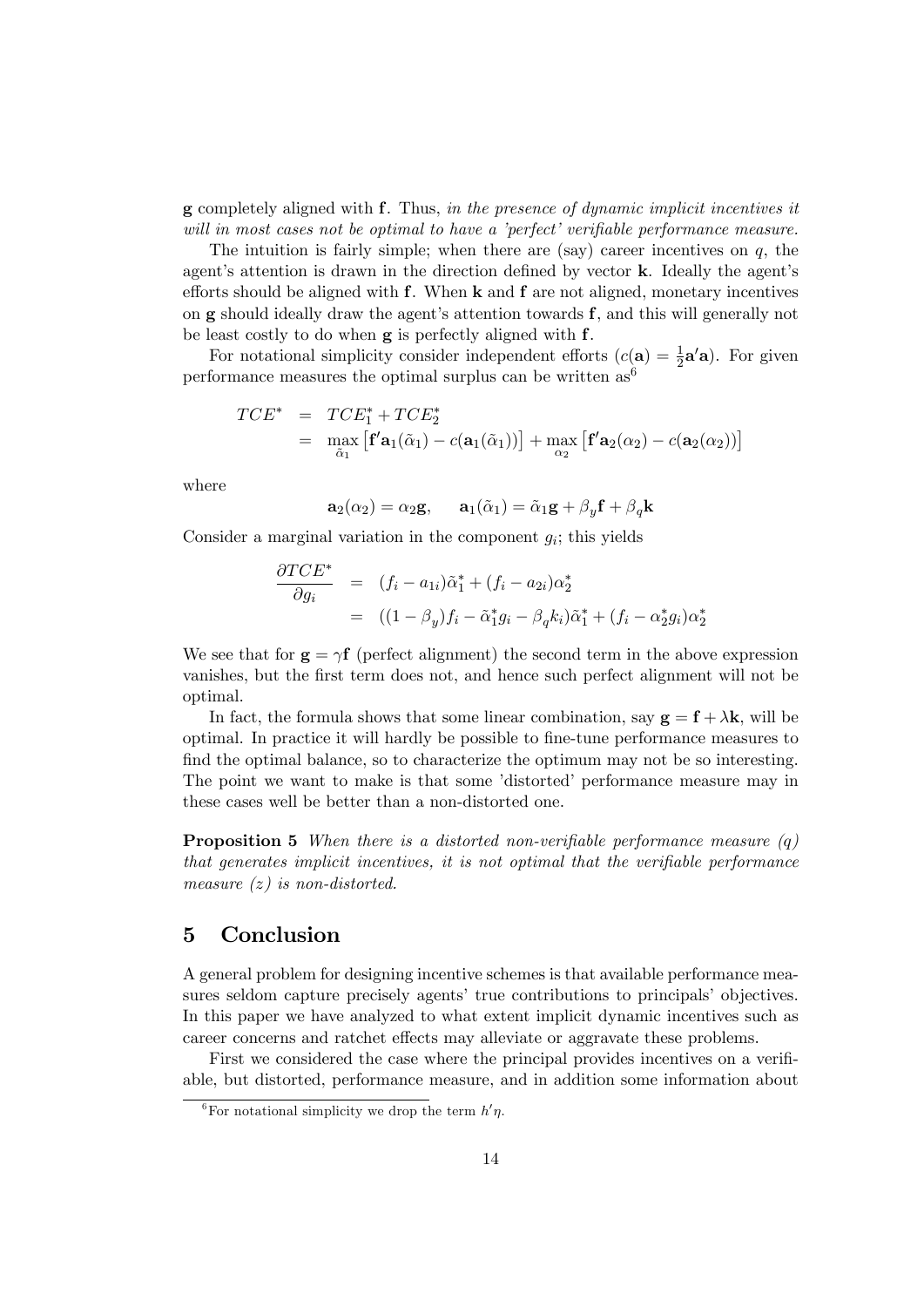g completely aligned with f. Thus, in the presence of dynamic implicit incentives it will in most cases not be optimal to have a 'perfect' verifiable performance measure.

The intuition is fairly simple; when there are (say) career incentives on  $q$ , the agent's attention is drawn in the direction defined by vector k. Ideally the agent's efforts should be aligned with  $f$ . When  $k$  and  $f$  are not aligned, monetary incentives on  $g$  should ideally draw the agent's attention towards  $f$ , and this will generally not be least costly to do when g is perfectly aligned with f.

For notational simplicity consider independent efforts  $(c(\mathbf{a}) = \frac{1}{2}\mathbf{a}'\mathbf{a})$ . For given performance measures the optimal surplus can be written  $as^6$ 

$$
TCE^* = TCE_1^* + TCE_2^*
$$
  
= 
$$
\max_{\tilde{\alpha}_1} [f' \mathbf{a}_1(\tilde{\alpha}_1) - c(\mathbf{a}_1(\tilde{\alpha}_1))] + \max_{\alpha_2} [f' \mathbf{a}_2(\alpha_2) - c(\mathbf{a}_2(\alpha_2))]
$$

where

$$
\mathbf{a}_2(\alpha_2) = \alpha_2 \mathbf{g}, \qquad \mathbf{a}_1(\tilde{\alpha}_1) = \tilde{\alpha}_1 \mathbf{g} + \beta_y \mathbf{f} + \beta_q \mathbf{k}
$$

Consider a marginal variation in the component  $g_i$ ; this yields

$$
\frac{\partial TCE^*}{\partial g_i} = (f_i - a_{1i})\tilde{\alpha}_1^* + (f_i - a_{2i})\alpha_2^*
$$
  
= 
$$
((1 - \beta_y)f_i - \tilde{\alpha}_1^*g_i - \beta_q k_i)\tilde{\alpha}_1^* + (f_i - \alpha_2^*g_i)\alpha_2^*
$$

We see that for  $g = \gamma f$  (perfect alignment) the second term in the above expression vanishes, but the first term does not, and hence such perfect alignment will not be optimal.

In fact, the formula shows that some linear combination, say  $g = f + \lambda k$ , will be optimal. In practice it will hardly be possible to fine-tune performance measures to find the optimal balance, so to characterize the optimum may not be so interesting. The point we want to make is that some 'distorted' performance measure may in these cases well be better than a non-distorted one.

**Proposition 5** When there is a distorted non-verifiable performance measure  $(q)$ that generates implicit incentives, it is not optimal that the verifiable performance measure  $(z)$  is non-distorted.

## 5 Conclusion

A general problem for designing incentive schemes is that available performance measures seldom capture precisely agents' true contributions to principals' objectives. In this paper we have analyzed to what extent implicit dynamic incentives such as career concerns and ratchet effects may alleviate or aggravate these problems.

First we considered the case where the principal provides incentives on a verifiable, but distorted, performance measure, and in addition some information about

<sup>&</sup>lt;sup>6</sup>For notational simplicity we drop the term  $h'\eta$ .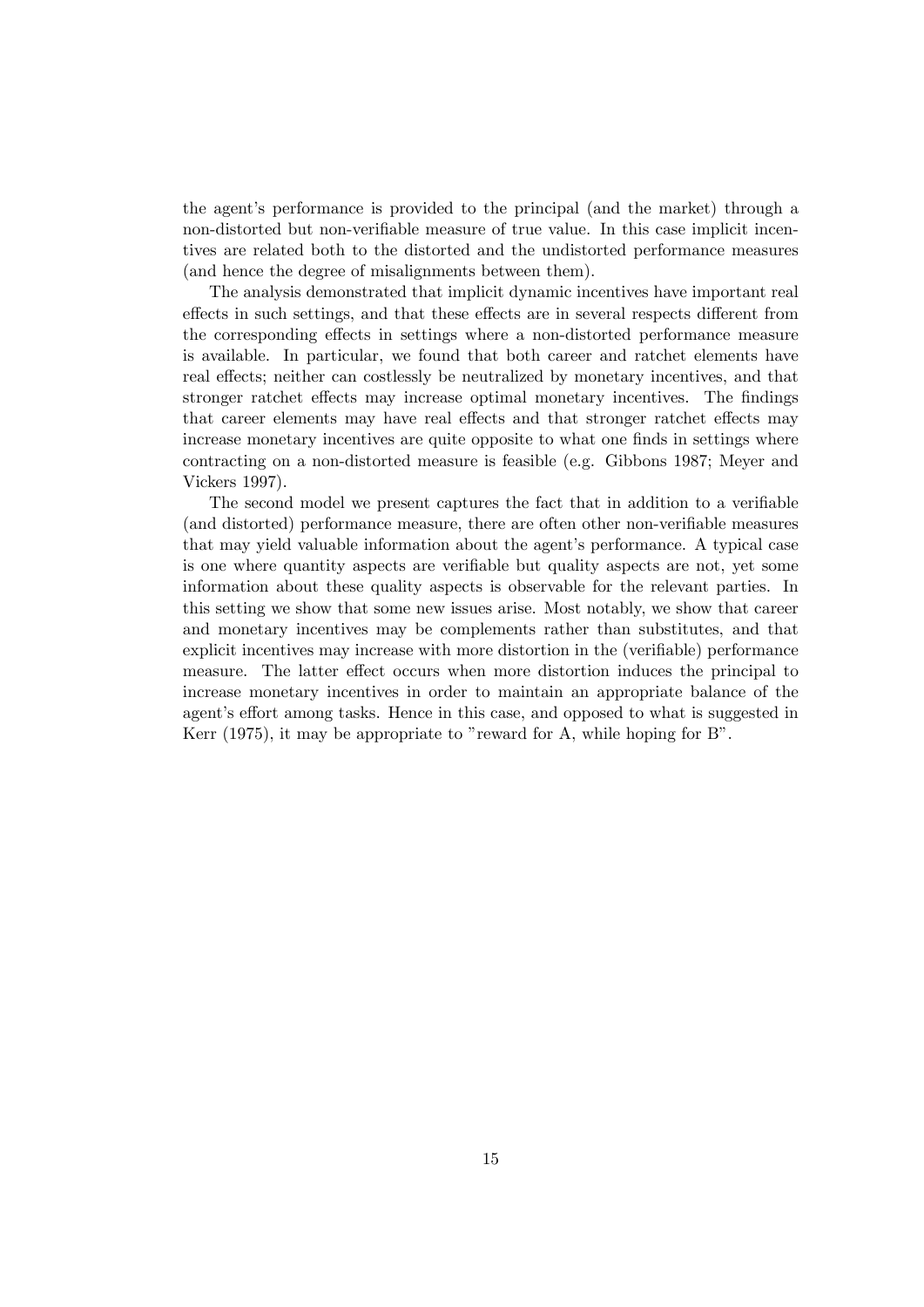the agent's performance is provided to the principal (and the market) through a non-distorted but non-verifiable measure of true value. In this case implicit incentives are related both to the distorted and the undistorted performance measures (and hence the degree of misalignments between them).

The analysis demonstrated that implicit dynamic incentives have important real effects in such settings, and that these effects are in several respects different from the corresponding effects in settings where a non-distorted performance measure is available. In particular, we found that both career and ratchet elements have real effects; neither can costlessly be neutralized by monetary incentives, and that stronger ratchet effects may increase optimal monetary incentives. The findings that career elements may have real effects and that stronger ratchet effects may increase monetary incentives are quite opposite to what one finds in settings where contracting on a non-distorted measure is feasible (e.g. Gibbons 1987; Meyer and Vickers 1997).

The second model we present captures the fact that in addition to a verifiable (and distorted) performance measure, there are often other non-verifiable measures that may yield valuable information about the agent's performance. A typical case is one where quantity aspects are verifiable but quality aspects are not, yet some information about these quality aspects is observable for the relevant parties. In this setting we show that some new issues arise. Most notably, we show that career and monetary incentives may be complements rather than substitutes, and that explicit incentives may increase with more distortion in the (verifiable) performance measure. The latter effect occurs when more distortion induces the principal to increase monetary incentives in order to maintain an appropriate balance of the agent's effort among tasks. Hence in this case, and opposed to what is suggested in Kerr  $(1975)$ , it may be appropriate to "reward for A, while hoping for B".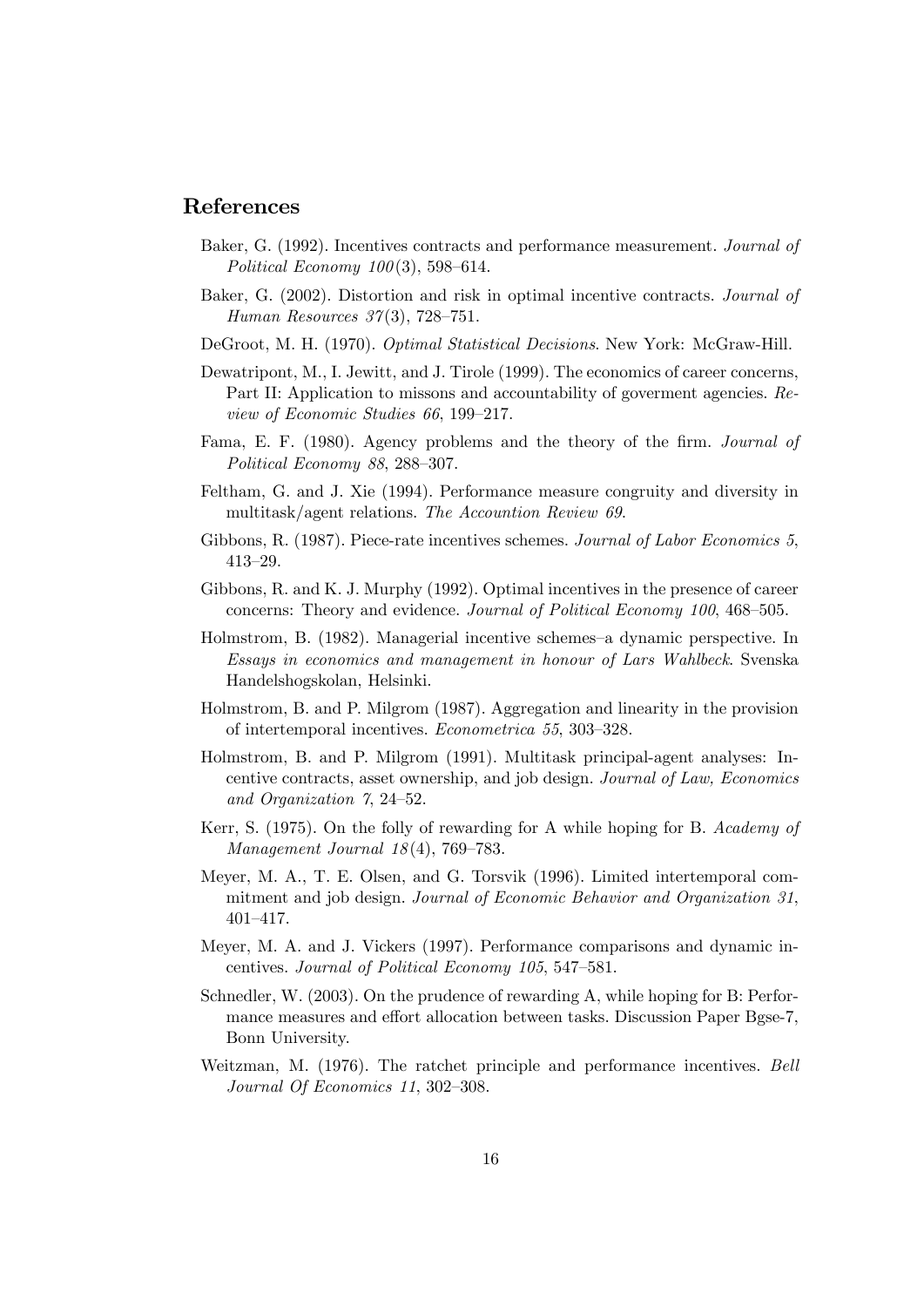## References

- Baker, G. (1992). Incentives contracts and performance measurement. Journal of Political Economy  $100(3)$ , 598-614.
- Baker, G. (2002). Distortion and risk in optimal incentive contracts. Journal of Human Resources  $37(3)$ , 728–751.
- DeGroot, M. H. (1970). Optimal Statistical Decisions. New York: McGraw-Hill.
- Dewatripont, M., I. Jewitt, and J. Tirole (1999). The economics of career concerns, Part II: Application to missons and accountability of goverment agencies. Review of Economic Studies  $66, 199-217$ .
- Fama, E. F. (1980). Agency problems and the theory of the firm. Journal of Political Economy  $88$ ,  $288-307$ .
- Feltham, G. and J. Xie (1994). Performance measure congruity and diversity in multitask/agent relations. The Accountion Review 69.
- Gibbons, R. (1987). Piece-rate incentives schemes. Journal of Labor Economics 5,  $413 - 29.$
- Gibbons, R. and K. J. Murphy (1992). Optimal incentives in the presence of career concerns: Theory and evidence. Journal of Political Economy 100, 468–505.
- Holmstrom, B. (1982). Managerial incentive schemes–a dynamic perspective. In Essays in economics and management in honour of Lars Wahlbeck. Svenska Handelshogskolan, Helsinki.
- Holmstrom, B. and P. Milgrom (1987). Aggregation and linearity in the provision of intertemporal incentives. *Econometrica* 55, 303–328.
- Holmstrom, B. and P. Milgrom (1991). Multitask principal-agent analyses: Incentive contracts, asset ownership, and job design. Journal of Law, Economics and Organization  $\gamma$ , 24-52.
- Kerr, S. (1975). On the folly of rewarding for A while hoping for B. Academy of Management Journal  $18(4)$ , 769–783.
- Meyer, M. A., T. E. Olsen, and G. Torsvik (1996). Limited intertemporal commitment and job design. Journal of Economic Behavior and Organization 31, 401-417.
- Meyer, M. A. and J. Vickers (1997). Performance comparisons and dynamic incentives. Journal of Political Economy  $105$ ,  $547-581$ .
- Schnedler, W. (2003). On the prudence of rewarding A, while hoping for B: Performance measures and effort allocation between tasks. Discussion Paper Bgse-7, Bonn University.
- Weitzman, M. (1976). The ratchet principle and performance incentives. Bell Journal Of Economics 11, 302-308.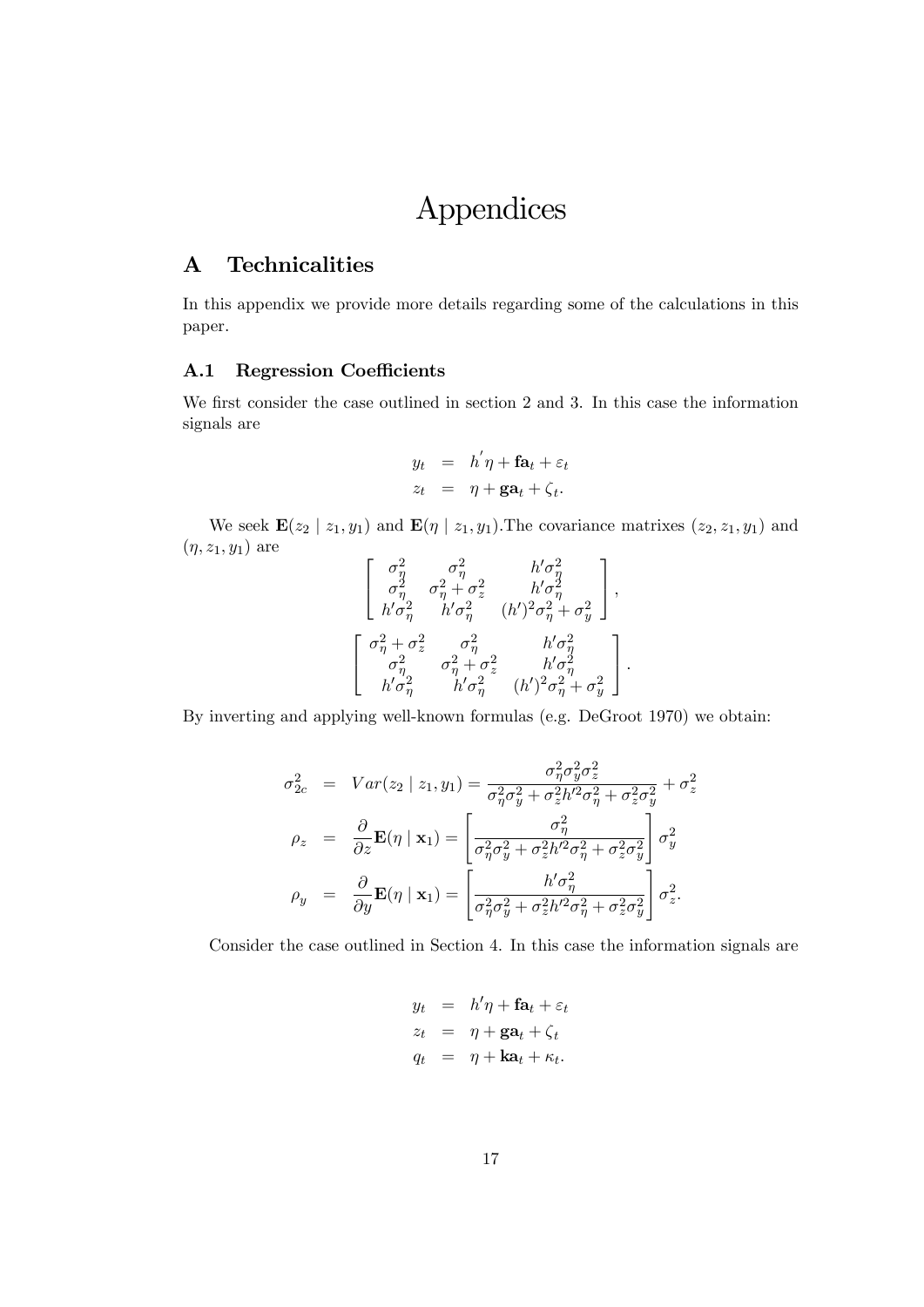# Appendices

## A Technicalities

In this appendix we provide more details regarding some of the calculations in this paper.

### A.1 Regression Coefficients

We first consider the case outlined in section 2 and 3. In this case the information signals are

$$
y_t = h'\eta + \mathbf{fa}_t + \varepsilon_t
$$
  

$$
z_t = \eta + \mathbf{ga}_t + \zeta_t.
$$

We seek  $\mathbf{E}(z_2 | z_1, y_1)$  and  $\mathbf{E}(\eta | z_1, y_1)$ . The covariance matrixes  $(z_2, z_1, y_1)$  and  $(\eta, z_1, y_1)$  are

$$
\left[ \begin{array}{ccc} \sigma_\eta^2 & \sigma_\eta^2 & h'\sigma_\eta^2 \\ \sigma_\eta^2 & \sigma_\eta^2+\sigma_z^2 & h'\sigma_\eta^2 \\ h'\sigma_\eta^2 & h'\sigma_\eta^2 & (h')^2\sigma_\eta^2+\sigma_y^2 \end{array} \right],
$$
\n
$$
\left[ \begin{array}{ccc} \sigma_\eta^2+\sigma_z^2 & \sigma_\eta^2 & h'\sigma_\eta^2 \\ \sigma_\eta^2 & \sigma_\eta^2+\sigma_z^2 & h'\sigma_\eta^2 \\ h'\sigma_\eta^2 & h'\sigma_\eta^2 & (h')^2\sigma_\eta^2+\sigma_y^2 \end{array} \right].
$$

By inverting and applying well-known formulas (e.g. DeGroot 1970) we obtain:

$$
\sigma_{2c}^2 = Var(z_2 | z_1, y_1) = \frac{\sigma_{\eta}^2 \sigma_y^2 \sigma_z^2}{\sigma_{\eta}^2 \sigma_y^2 + \sigma_z^2 h'^2 \sigma_{\eta}^2 + \sigma_z^2 \sigma_y^2} + \sigma_z^2
$$

$$
\rho_z = \frac{\partial}{\partial z} \mathbf{E}(\eta | \mathbf{x}_1) = \begin{bmatrix} \sigma_{\eta}^2 \\ \sigma_{\eta}^2 \sigma_y^2 + \sigma_z^2 h'^2 \sigma_{\eta}^2 + \sigma_z^2 \sigma_y^2 \end{bmatrix} \sigma_y^2
$$

$$
\rho_y = \frac{\partial}{\partial y} \mathbf{E}(\eta | \mathbf{x}_1) = \begin{bmatrix} \frac{h' \sigma_{\eta}^2}{\sigma_{\eta}^2 \sigma_y^2 + \sigma_z^2 h'^2 \sigma_{\eta}^2 + \sigma_z^2 \sigma_y^2} \end{bmatrix} \sigma_z^2.
$$

Consider the case outlined in Section 4. In this case the information signals are

$$
y_t = h'\eta + \mathbf{fa}_t + \varepsilon_t
$$
  

$$
z_t = \eta + \mathbf{ga}_t + \zeta_t
$$
  

$$
q_t = \eta + \mathbf{ka}_t + \kappa_t.
$$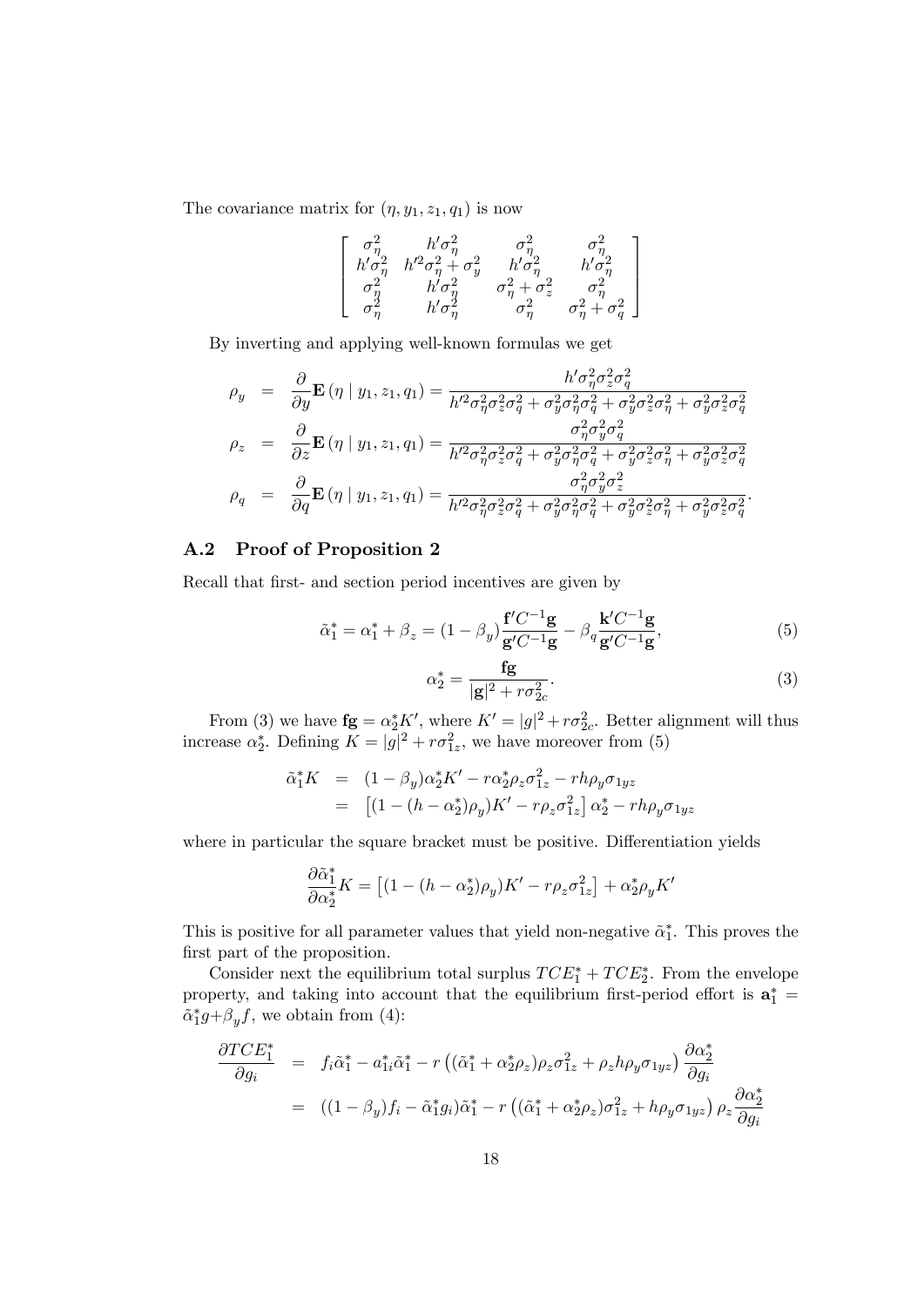The covariance matrix for  $(\eta, y_1, z_1, q_1)$  is now

$$
\left[ \begin{array}{cccc} \sigma^2_\eta & h^\prime \sigma^2_\eta & \sigma^2_\eta & \sigma^2_\eta \\ h^\prime \sigma^2_\eta & h^{\prime 2} \sigma^2_\eta + \sigma^2_y & h^\prime \sigma^2_\eta & h^\prime \sigma^2_\eta \\ \sigma^2_\eta & h^\prime \sigma^2_\eta & \sigma^2_\eta + \sigma^2_z & \sigma^2_\eta \\ \sigma^2_\eta & h^\prime \sigma^2_\eta & \sigma^2_\eta & \sigma^2_\eta + \sigma^2_q \end{array} \right]
$$

By inverting and applying well-known formulas we get

$$
\rho_y = \frac{\partial}{\partial y} \mathbf{E} \left( \eta \mid y_1, z_1, q_1 \right) = \frac{h' \sigma_{\eta}^2 \sigma_z^2 \sigma_q^2}{h'^2 \sigma_{\eta}^2 \sigma_z^2 \sigma_q^2 + \sigma_y^2 \sigma_{\eta}^2 \sigma_q^2 + \sigma_y^2 \sigma_z^2 \sigma_{\eta}^2 + \sigma_y^2 \sigma_z^2 \sigma_q^2}
$$
\n
$$
\rho_z = \frac{\partial}{\partial z} \mathbf{E} \left( \eta \mid y_1, z_1, q_1 \right) = \frac{\sigma_{\eta}^2 \sigma_y^2 \sigma_q^2}{h'^2 \sigma_{\eta}^2 \sigma_z^2 \sigma_q^2 + \sigma_y^2 \sigma_{\eta}^2 \sigma_q^2 + \sigma_y^2 \sigma_z^2 \sigma_{\eta}^2 + \sigma_y^2 \sigma_z^2 \sigma_q^2}
$$
\n
$$
\rho_q = \frac{\partial}{\partial q} \mathbf{E} \left( \eta \mid y_1, z_1, q_1 \right) = \frac{\sigma_{\eta}^2 \sigma_y^2 \sigma_z^2}{h'^2 \sigma_{\eta}^2 \sigma_z^2 \sigma_q^2 + \sigma_y^2 \sigma_{\eta}^2 \sigma_{\eta}^2 + \sigma_y^2 \sigma_z^2 \sigma_{\eta}^2 + \sigma_y^2 \sigma_z^2 \sigma_q^2}
$$

#### A.2 Proof of Proposition 2

Recall that first- and section period incentives are given by

$$
\tilde{\alpha}_1^* = \alpha_1^* + \beta_z = (1 - \beta_y) \frac{\mathbf{f}' C^{-1} \mathbf{g}}{\mathbf{g}' C^{-1} \mathbf{g}} - \beta_q \frac{\mathbf{k}' C^{-1} \mathbf{g}}{\mathbf{g}' C^{-1} \mathbf{g}},\tag{5}
$$

$$
\alpha_2^* = \frac{\mathbf{fg}}{|\mathbf{g}|^2 + r\sigma_{2c}^2}.\tag{3}
$$

From (3) we have  $\mathbf{fg} = \alpha_2^* K'$ , where  $K' = |g|^2 + r \sigma_{2c}^2$ . Better alignment will thus increase  $\alpha_2^*$ . Defining  $K = |g|^2 + r\sigma_{1z}^2$ , we have moreover from (5)

$$
\tilde{\alpha}_1^* K = (1 - \beta_y) \alpha_2^* K' - r \alpha_2^* \rho_z \sigma_{1z}^2 - r h \rho_y \sigma_{1yz} \n= [(1 - (h - \alpha_2^*) \rho_y) K' - r \rho_z \sigma_{1z}^2] \alpha_2^* - r h \rho_y \sigma_{1yz}
$$

where in particular the square bracket must be positive. Differentiation yields

$$
\frac{\partial \tilde{\alpha}_1^*}{\partial \alpha_2^*} K = \left[ (1 - (h - \alpha_2^*) \rho_y) K' - r \rho_z \sigma_{1z}^2 \right] + \alpha_2^* \rho_y K'
$$

This is positive for all parameter values that yield non-negative  $\tilde{\alpha}_{1}^{*}$ . This proves the first part of the proposition.

Consider next the equilibrium total surplus  $TCE_1^* + TCE_2^*$ . From the envelope property, and taking into account that the equilibrium first-period effort is  $\mathbf{a}_1^* =$  $\tilde{\alpha}_1^* g + \beta_y f$ , we obtain from (4):

$$
\frac{\partial TCE_1^*}{\partial g_i} = f_i \tilde{\alpha}_1^* - a_{1i}^* \tilde{\alpha}_1^* - r \left( (\tilde{\alpha}_1^* + \alpha_2^* \rho_z) \rho_z \sigma_{1z}^2 + \rho_z h \rho_y \sigma_{1yz} \right) \frac{\partial \alpha_2^*}{\partial g_i}
$$
  

$$
= ((1 - \beta_y) f_i - \tilde{\alpha}_1^* g_i) \tilde{\alpha}_1^* - r \left( (\tilde{\alpha}_1^* + \alpha_2^* \rho_z) \sigma_{1z}^2 + h \rho_y \sigma_{1yz} \right) \rho_z \frac{\partial \alpha_2^*}{\partial g_i}
$$